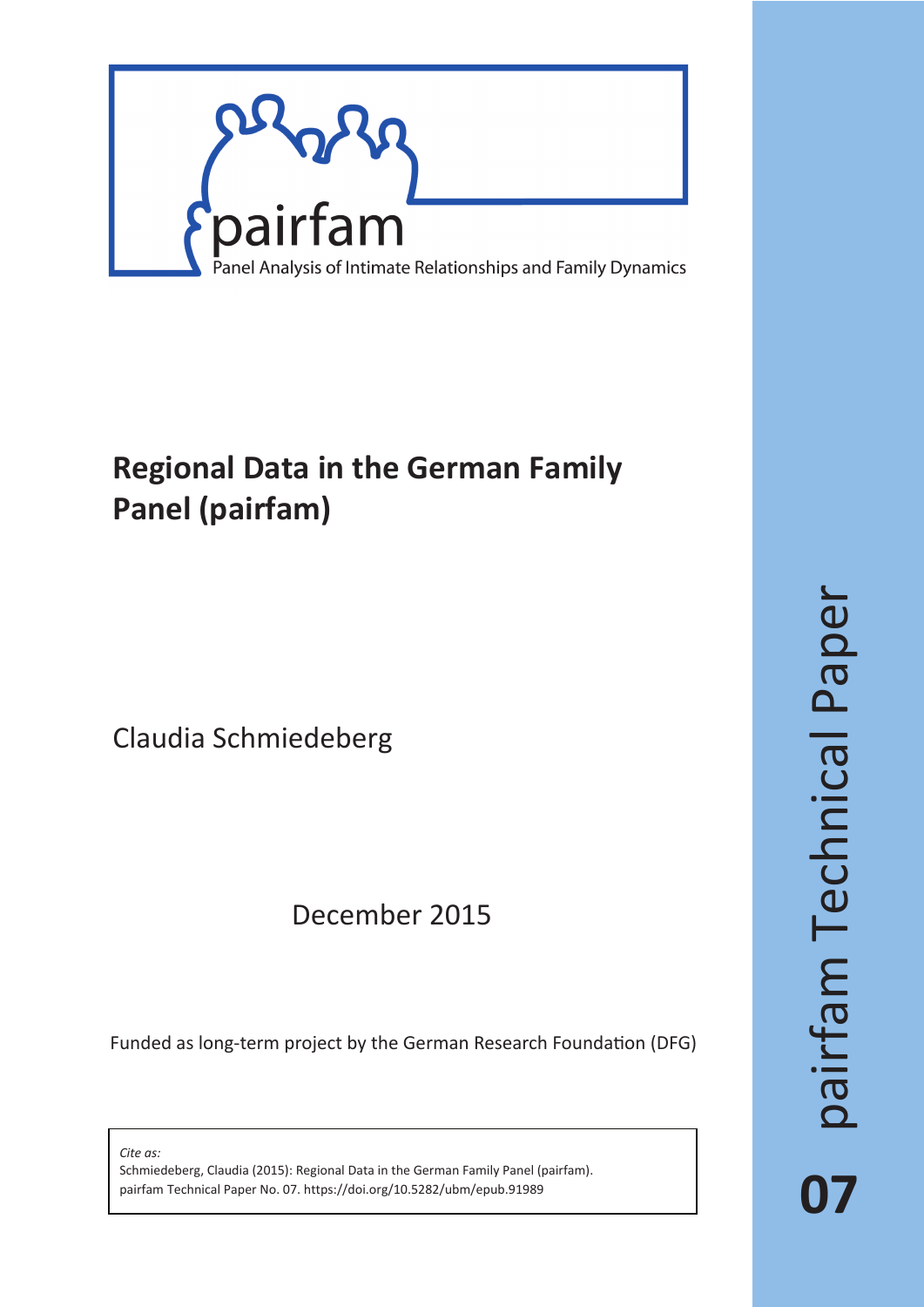

# **Regional Data in the German Family Panel (pairfam)**

Claudia Schmiedeberg

## December 2015

Funded as long-term project by the German Research Foundation (DFG)

*Cite as:*

Schmiedeberg, Claudia (2015): Regional Data in the German Family Panel (pairfam). pairfam Technical Paper No. 07. https://doi.org/10.5282/ubm/epub.91989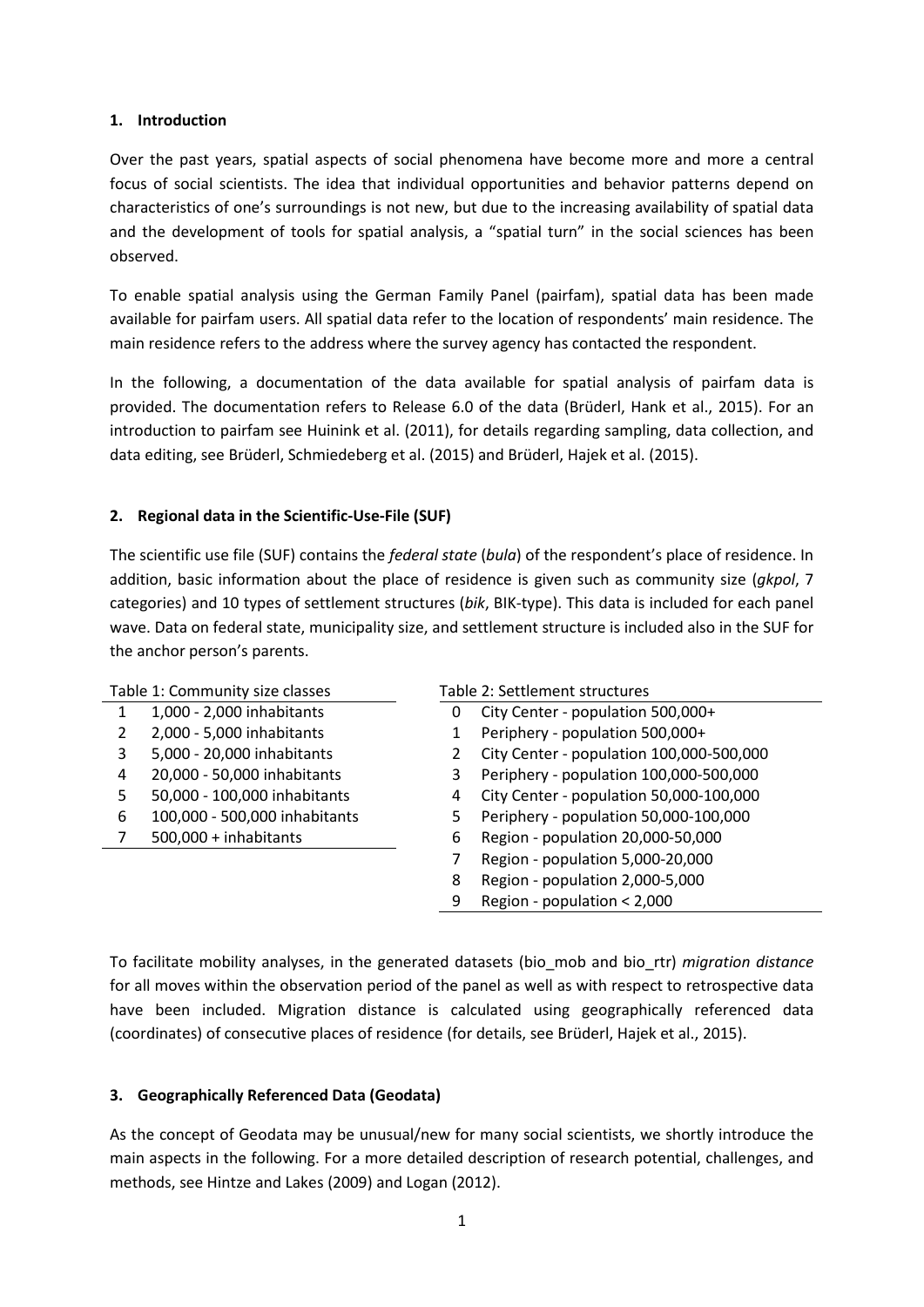## **1. Introduction**

Over the past years, spatial aspects of social phenomena have become more and more a central focus of social scientists. The idea that individual opportunities and behavior patterns depend on characteristics of one's surroundings is not new, but due to the increasing availability of spatial data and the development of tools for spatial analysis, a "spatial turn" in the social sciences has been observed.

To enable spatial analysis using the German Family Panel (pairfam), spatial data has been made available for pairfam users. All spatial data refer to the location of respondents' main residence. The main residence refers to the address where the survey agency has contacted the respondent.

In the following, a documentation of the data available for spatial analysis of pairfam data is provided. The documentation refers to Release 6.0 of the data (Brüderl, Hank et al., 2015). For an introduction to pairfam see Huinink et al. (2011), for details regarding sampling, data collection, and data editing, see Brüderl, Schmiedeberg et al. (2015) and Brüderl, Hajek et al. (2015).

## **2. Regional data in the Scientific-Use-File (SUF)**

The scientific use file (SUF) contains the *federal state* (*bula*) of the respondent's place of residence. In addition, basic information about the place of residence is given such as community size (*gkpol*, 7 categories) and 10 types of settlement structures (*bik*, BIK-type). This data is included for each panel wave. Data on federal state, municipality size, and settlement structure is included also in the SUF for the anchor person's parents.

| Table 1: Community size classes |                               | Table 2: Settlement structures         |                                          |  |  |
|---------------------------------|-------------------------------|----------------------------------------|------------------------------------------|--|--|
|                                 | 1,000 - 2,000 inhabitants     | City Center - population 500,000+<br>0 |                                          |  |  |
|                                 | 2,000 - 5,000 inhabitants     |                                        | Periphery - population 500,000+          |  |  |
| 3                               | 5,000 - 20,000 inhabitants    |                                        | City Center - population 100,000-500,000 |  |  |
| 4                               | 20,000 - 50,000 inhabitants   |                                        | Periphery - population 100,000-500,000   |  |  |
| 5                               | 50,000 - 100,000 inhabitants  | 4                                      | City Center - population 50,000-100,000  |  |  |
| 6                               | 100,000 - 500,000 inhabitants | 5                                      | Periphery - population 50,000-100,000    |  |  |
|                                 | $500,000 + inhabitants$       | 6                                      | Region - population 20,000-50,000        |  |  |
|                                 |                               |                                        | Region - population 5,000-20,000         |  |  |
|                                 |                               | 8                                      | Region - population 2,000-5,000          |  |  |
|                                 |                               | 9                                      | Region - population < 2,000              |  |  |

To facilitate mobility analyses, in the generated datasets (bio\_mob and bio\_rtr) *migration distance* for all moves within the observation period of the panel as well as with respect to retrospective data have been included. Migration distance is calculated using geographically referenced data (coordinates) of consecutive places of residence (for details, see Brüderl, Hajek et al., 2015).

## **3. Geographically Referenced Data (Geodata)**

As the concept of Geodata may be unusual/new for many social scientists, we shortly introduce the main aspects in the following. For a more detailed description of research potential, challenges, and methods, see Hintze and Lakes (2009) and Logan (2012).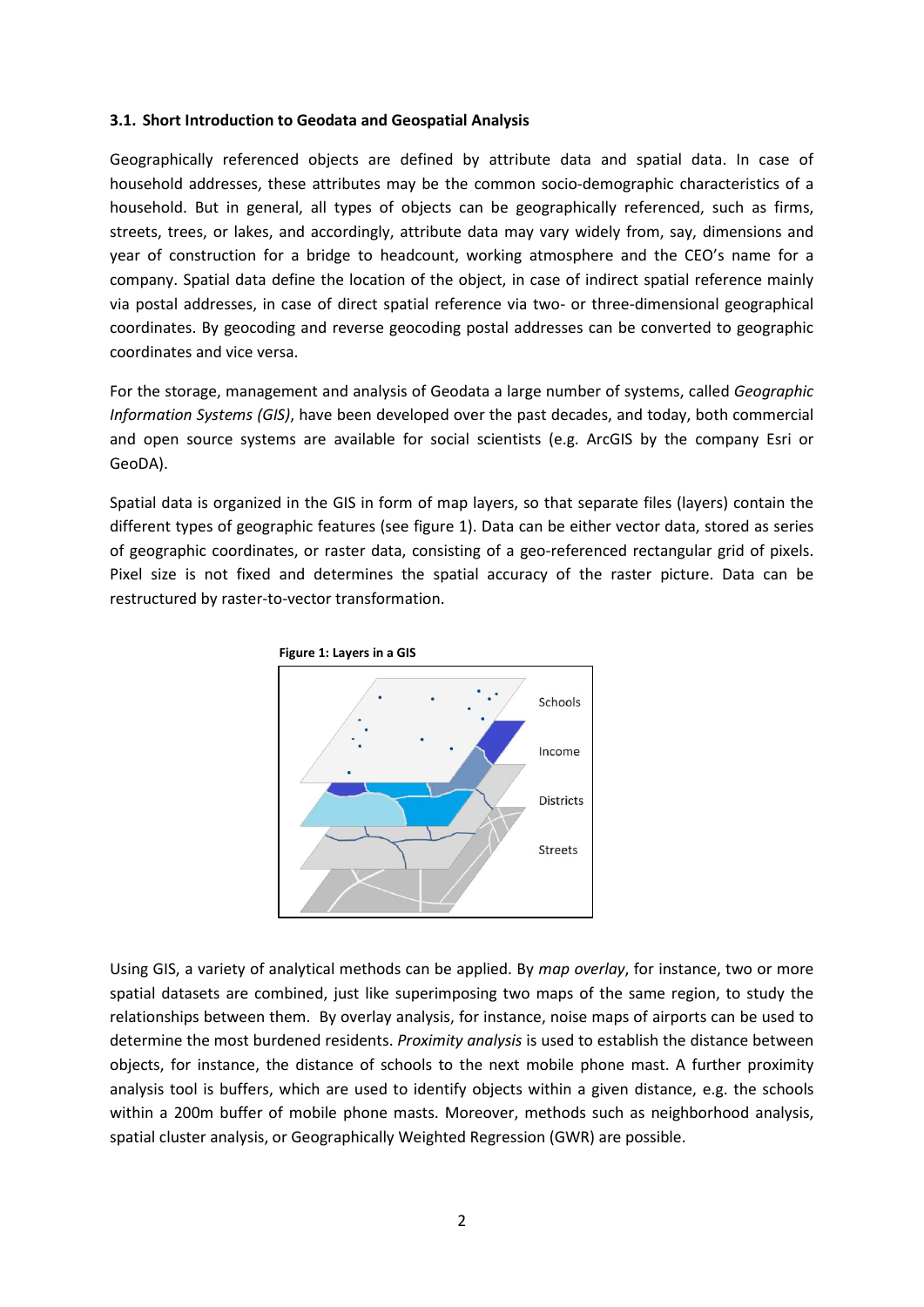#### **3.1. Short Introduction to Geodata and Geospatial Analysis**

Geographically referenced objects are defined by attribute data and spatial data. In case of household addresses, these attributes may be the common socio-demographic characteristics of a household. But in general, all types of objects can be geographically referenced, such as firms, streets, trees, or lakes, and accordingly, attribute data may vary widely from, say, dimensions and year of construction for a bridge to headcount, working atmosphere and the CEO's name for a company. Spatial data define the location of the object, in case of indirect spatial reference mainly via postal addresses, in case of direct spatial reference via two- or three-dimensional geographical coordinates. By geocoding and reverse geocoding postal addresses can be converted to geographic coordinates and vice versa.

For the storage, management and analysis of Geodata a large number of systems, called *Geographic Information Systems (GIS)*, have been developed over the past decades, and today, both commercial and open source systems are available for social scientists (e.g. ArcGIS by the company Esri or GeoDA).

Spatial data is organized in the GIS in form of map layers, so that separate files (layers) contain the different types of geographic features (see figure 1). Data can be either vector data, stored as series of geographic coordinates, or raster data, consisting of a geo-referenced rectangular grid of pixels. Pixel size is not fixed and determines the spatial accuracy of the raster picture. Data can be restructured by raster-to-vector transformation.



Using GIS, a variety of analytical methods can be applied. By *map overlay*, for instance, two or more spatial datasets are combined, just like superimposing two maps of the same region, to study the relationships between them. By overlay analysis, for instance, noise maps of airports can be used to determine the most burdened residents. *Proximity analysis* is used to establish the distance between objects, for instance, the distance of schools to the next mobile phone mast. A further proximity analysis tool is buffers, which are used to identify objects within a given distance, e.g. the schools within a 200m buffer of mobile phone masts. Moreover, methods such as neighborhood analysis, spatial cluster analysis, or Geographically Weighted Regression (GWR) are possible.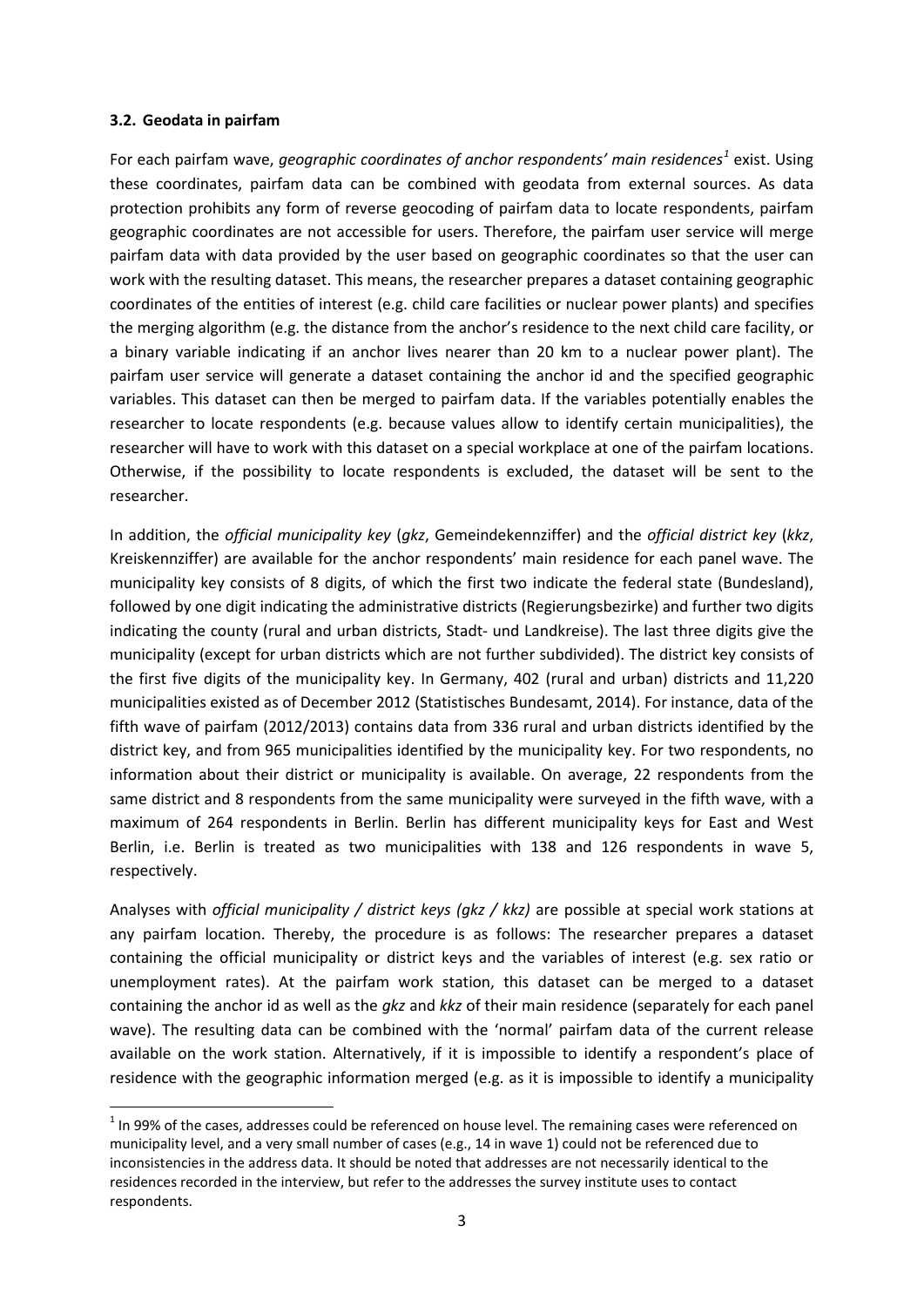#### **3.2. Geodata in pairfam**

For each pairfam wave, *geographic coordinates of anchor respondents' main residences[1](#page-3-0)* exist. Using these coordinates, pairfam data can be combined with geodata from external sources. As data protection prohibits any form of reverse geocoding of pairfam data to locate respondents, pairfam geographic coordinates are not accessible for users. Therefore, the pairfam user service will merge pairfam data with data provided by the user based on geographic coordinates so that the user can work with the resulting dataset. This means, the researcher prepares a dataset containing geographic coordinates of the entities of interest (e.g. child care facilities or nuclear power plants) and specifies the merging algorithm (e.g. the distance from the anchor's residence to the next child care facility, or a binary variable indicating if an anchor lives nearer than 20 km to a nuclear power plant). The pairfam user service will generate a dataset containing the anchor id and the specified geographic variables. This dataset can then be merged to pairfam data. If the variables potentially enables the researcher to locate respondents (e.g. because values allow to identify certain municipalities), the researcher will have to work with this dataset on a special workplace at one of the pairfam locations. Otherwise, if the possibility to locate respondents is excluded, the dataset will be sent to the researcher.

In addition, the *official municipality key* (*gkz*, Gemeindekennziffer) and the *official district key* (*kkz*, Kreiskennziffer) are available for the anchor respondents' main residence for each panel wave. The municipality key consists of 8 digits, of which the first two indicate the federal state (Bundesland), followed by one digit indicating the administrative districts (Regierungsbezirke) and further two digits indicating the county (rural and urban districts, Stadt- und Landkreise). The last three digits give the municipality (except for urban districts which are not further subdivided). The district key consists of the first five digits of the municipality key. In Germany, 402 (rural and urban) districts and 11,220 municipalities existed as of December 2012 (Statistisches Bundesamt, 2014). For instance, data of the fifth wave of pairfam (2012/2013) contains data from 336 rural and urban districts identified by the district key, and from 965 municipalities identified by the municipality key. For two respondents, no information about their district or municipality is available. On average, 22 respondents from the same district and 8 respondents from the same municipality were surveyed in the fifth wave, with a maximum of 264 respondents in Berlin. Berlin has different municipality keys for East and West Berlin, i.e. Berlin is treated as two municipalities with 138 and 126 respondents in wave 5, respectively.

Analyses with *official municipality / district keys (gkz / kkz)* are possible at special work stations at any pairfam location. Thereby, the procedure is as follows: The researcher prepares a dataset containing the official municipality or district keys and the variables of interest (e.g. sex ratio or unemployment rates). At the pairfam work station, this dataset can be merged to a dataset containing the anchor id as well as the *gkz* and *kkz* of their main residence (separately for each panel wave). The resulting data can be combined with the 'normal' pairfam data of the current release available on the work station. Alternatively, if it is impossible to identify a respondent's place of residence with the geographic information merged (e.g. as it is impossible to identify a municipality

<span id="page-3-0"></span> $1$  In 99% of the cases, addresses could be referenced on house level. The remaining cases were referenced on municipality level, and a very small number of cases (e.g., 14 in wave 1) could not be referenced due to inconsistencies in the address data. It should be noted that addresses are not necessarily identical to the residences recorded in the interview, but refer to the addresses the survey institute uses to contact respondents.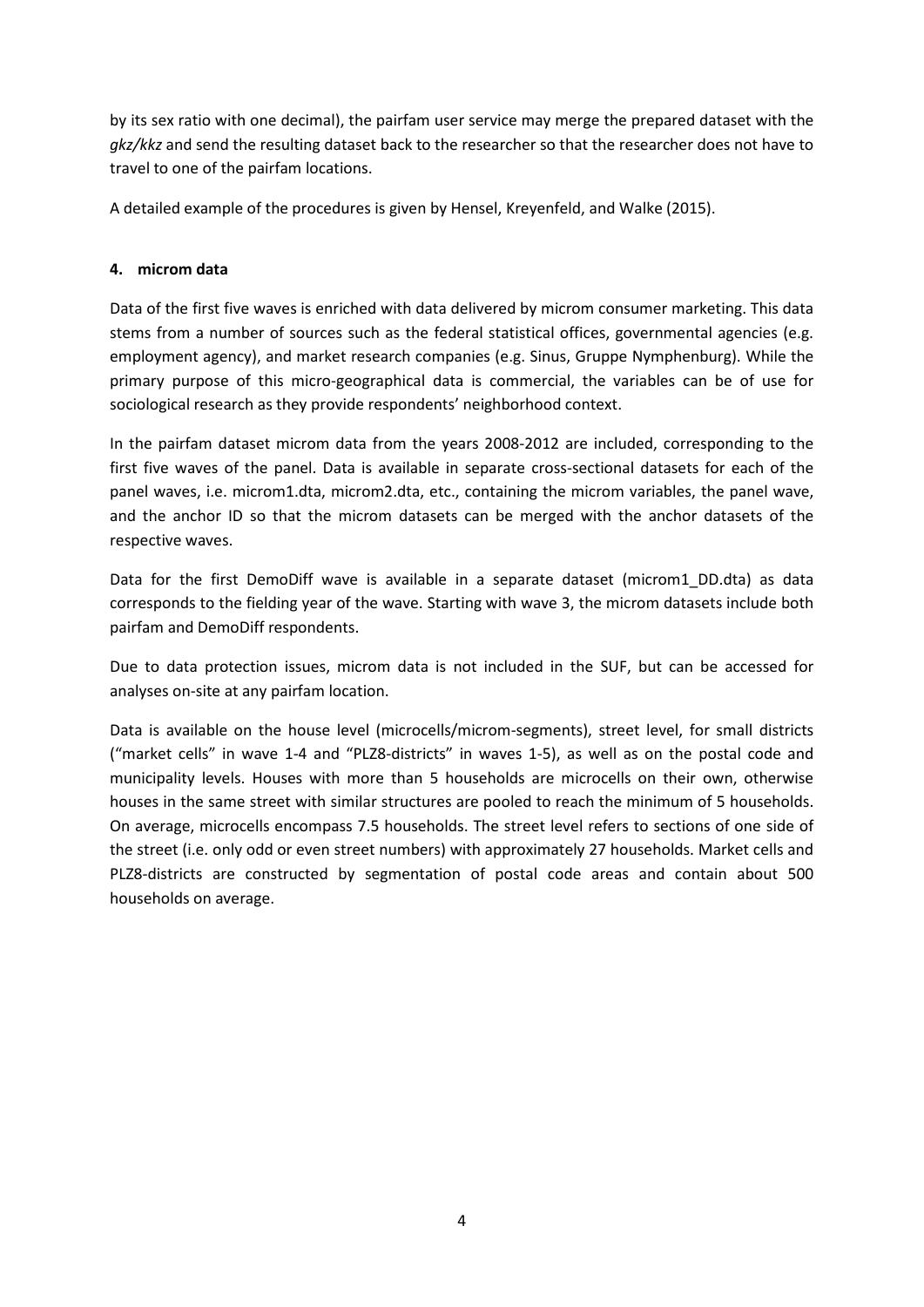by its sex ratio with one decimal), the pairfam user service may merge the prepared dataset with the *gkz/kkz* and send the resulting dataset back to the researcher so that the researcher does not have to travel to one of the pairfam locations.

A detailed example of the procedures is given by Hensel, Kreyenfeld, and Walke (2015).

## **4. microm data**

Data of the first five waves is enriched with data delivered by microm consumer marketing. This data stems from a number of sources such as the federal statistical offices, governmental agencies (e.g. employment agency), and market research companies (e.g. Sinus, Gruppe Nymphenburg). While the primary purpose of this micro-geographical data is commercial, the variables can be of use for sociological research as they provide respondents' neighborhood context.

In the pairfam dataset microm data from the years 2008-2012 are included, corresponding to the first five waves of the panel. Data is available in separate cross-sectional datasets for each of the panel waves, i.e. microm1.dta, microm2.dta, etc., containing the microm variables, the panel wave, and the anchor ID so that the microm datasets can be merged with the anchor datasets of the respective waves.

Data for the first DemoDiff wave is available in a separate dataset (microm1\_DD.dta) as data corresponds to the fielding year of the wave. Starting with wave 3, the microm datasets include both pairfam and DemoDiff respondents.

Due to data protection issues, microm data is not included in the SUF, but can be accessed for analyses on-site at any pairfam location.

Data is available on the house level (microcells/microm-segments), street level, for small districts ("market cells" in wave 1-4 and "PLZ8-districts" in waves 1-5), as well as on the postal code and municipality levels. Houses with more than 5 households are microcells on their own, otherwise houses in the same street with similar structures are pooled to reach the minimum of 5 households. On average, microcells encompass 7.5 households. The street level refers to sections of one side of the street (i.e. only odd or even street numbers) with approximately 27 households. Market cells and PLZ8-districts are constructed by segmentation of postal code areas and contain about 500 households on average.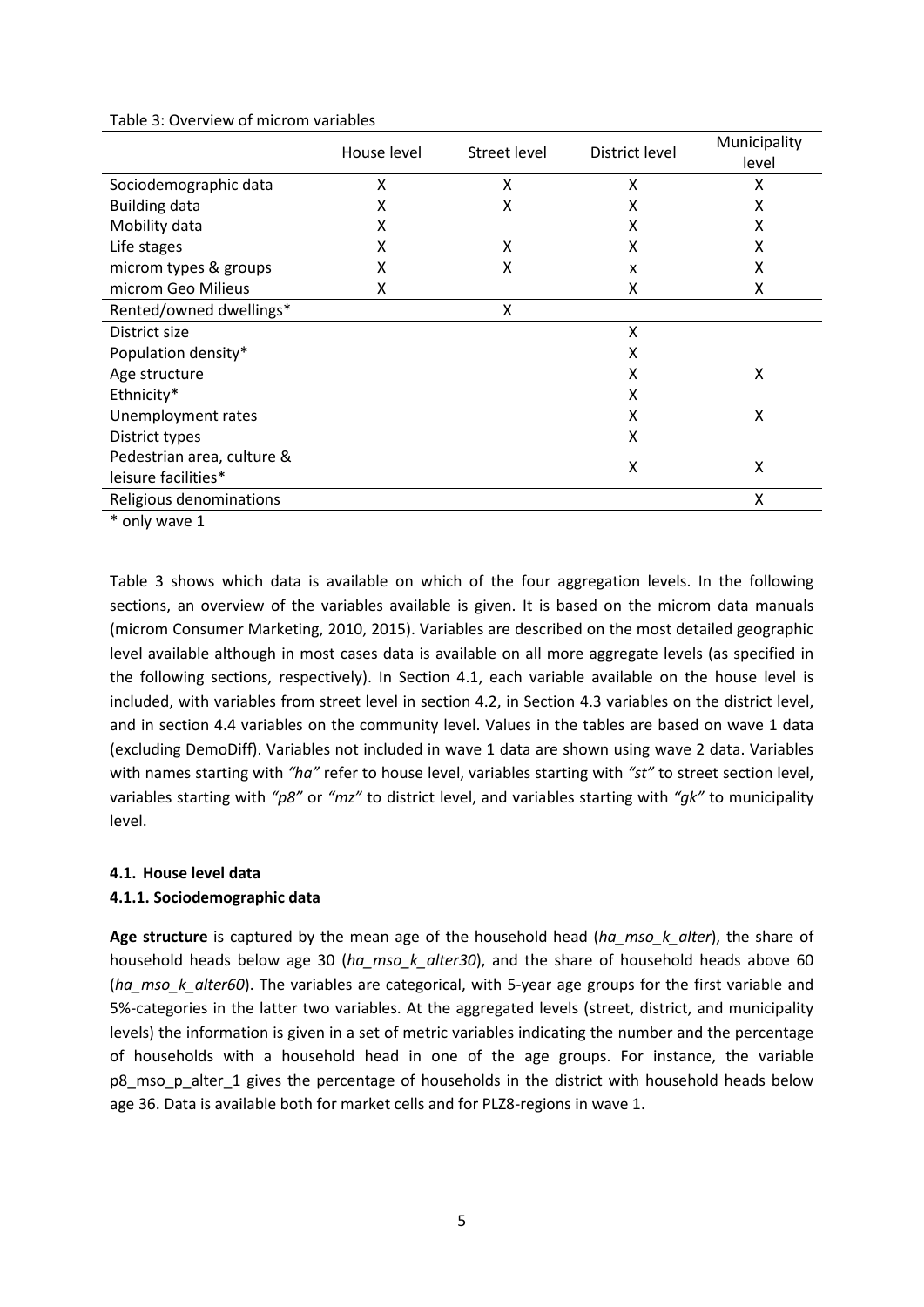|                            | House level | Street level | District level | Municipality<br>level |
|----------------------------|-------------|--------------|----------------|-----------------------|
| Sociodemographic data      | X           | X            | X              | Χ                     |
| <b>Building data</b>       | x           | Χ            | X              | Χ                     |
| Mobility data              | x           |              | X              | X                     |
| Life stages                | x           | X            | X              | X                     |
| microm types & groups      | x           | X            | x              | Χ                     |
| microm Geo Milieus         | x           |              | x              | X                     |
| Rented/owned dwellings*    |             | X            |                |                       |
| District size              |             |              | X              |                       |
| Population density*        |             |              | X              |                       |
| Age structure              |             |              | x              | X                     |
| Ethnicity*                 |             |              | x              |                       |
| Unemployment rates         |             |              | x              | X                     |
| District types             |             |              | X              |                       |
| Pedestrian area, culture & |             |              | X              | X                     |
| leisure facilities*        |             |              |                |                       |
| Religious denominations    |             |              |                | X                     |
| .                          |             |              |                |                       |

<span id="page-5-0"></span>Table 3: Overview of microm variables

\* only wave 1

[Table 3](#page-5-0) shows which data is available on which of the four aggregation levels. In the following sections, an overview of the variables available is given. It is based on the microm data manuals (microm Consumer Marketing, 2010, 2015). Variables are described on the most detailed geographic level available although in most cases data is available on all more aggregate levels (as specified in the following sections, respectively). In Section 4.1, each variable available on the house level is included, with variables from street level in section 4.2, in Section 4.3 variables on the district level, and in section 4.4 variables on the community level. Values in the tables are based on wave 1 data (excluding DemoDiff). Variables not included in wave 1 data are shown using wave 2 data. Variables with names starting with *"ha"* refer to house level, variables starting with *"st"* to street section level, variables starting with *"p8"* or *"mz"* to district level, and variables starting with *"gk"* to municipality level.

#### **4.1. House level data**

#### **4.1.1. Sociodemographic data**

**Age structure** is captured by the mean age of the household head (*ha\_mso\_k\_alter*), the share of household heads below age 30 (*ha\_mso\_k\_alter30*), and the share of household heads above 60 (*ha\_mso\_k\_alter60*). The variables are categorical, with 5-year age groups for the first variable and 5%-categories in the latter two variables. At the aggregated levels (street, district, and municipality levels) the information is given in a set of metric variables indicating the number and the percentage of households with a household head in one of the age groups. For instance, the variable p8 mso p alter 1 gives the percentage of households in the district with household heads below age 36. Data is available both for market cells and for PLZ8-regions in wave 1.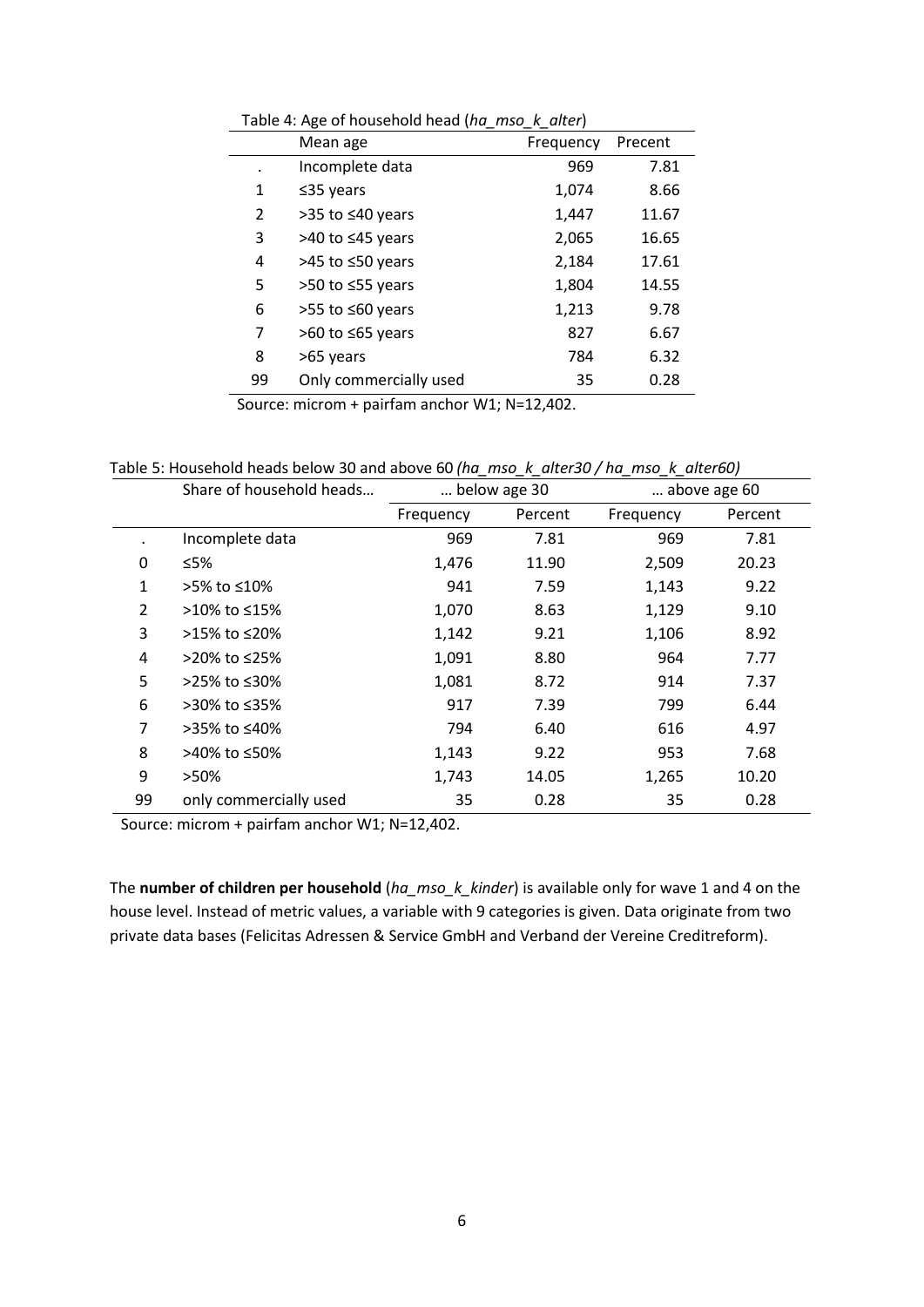|    | Mean age                 | Frequency | Precent |
|----|--------------------------|-----------|---------|
|    | Incomplete data          | 969       | 7.81    |
| 1  | $≤35$ years              | 1,074     | 8.66    |
| 2  | >35 to ≤40 years         | 1,447     | 11.67   |
| 3  | >40 to ≤45 years         | 2,065     | 16.65   |
| 4  | >45 to ≤50 years         | 2,184     | 17.61   |
| 5  | >50 to ≤55 years         | 1,804     | 14.55   |
| 6  | $>55$ to $\leq 60$ years | 1,213     | 9.78    |
| 7  | $>60$ to $\leq 65$ years | 827       | 6.67    |
| 8  | >65 years                | 784       | 6.32    |
| 99 | Only commercially used   | 35        | 0.28    |

Table 4: Age of household head (*ha\_mso\_k\_alter*)

Table 5: Household heads below 30 and above 60 *(ha\_mso\_k\_alter30 / ha\_mso\_k\_alter60)*

|                | Share of household heads | below age 30 |         |           |         |  | above age 60 |
|----------------|--------------------------|--------------|---------|-----------|---------|--|--------------|
|                |                          | Frequency    | Percent | Frequency | Percent |  |              |
|                | Incomplete data          | 969          | 7.81    | 969       | 7.81    |  |              |
| 0              | ≤5%                      | 1,476        | 11.90   | 2,509     | 20.23   |  |              |
| 1              | >5% to ≤10%              | 941          | 7.59    | 1,143     | 9.22    |  |              |
| $\overline{2}$ | >10% to ≤15%             | 1,070        | 8.63    | 1,129     | 9.10    |  |              |
| 3              | >15% to ≤20%             | 1,142        | 9.21    | 1,106     | 8.92    |  |              |
| 4              | >20% to ≤25%             | 1,091        | 8.80    | 964       | 7.77    |  |              |
| 5              | >25% to ≤30%             | 1,081        | 8.72    | 914       | 7.37    |  |              |
| 6              | >30% to ≤35%             | 917          | 7.39    | 799       | 6.44    |  |              |
| 7              | >35% to ≤40%             | 794          | 6.40    | 616       | 4.97    |  |              |
| 8              | >40% to ≤50%             | 1,143        | 9.22    | 953       | 7.68    |  |              |
| 9              | >50%                     | 1,743        | 14.05   | 1,265     | 10.20   |  |              |
| 99             | only commercially used   | 35           | 0.28    | 35        | 0.28    |  |              |

Source: microm + pairfam anchor W1; N=12,402.

The **number of children per household** (*ha\_mso\_k\_kinder*) is available only for wave 1 and 4 on the house level. Instead of metric values, a variable with 9 categories is given. Data originate from two private data bases (Felicitas Adressen & Service GmbH and Verband der Vereine Creditreform).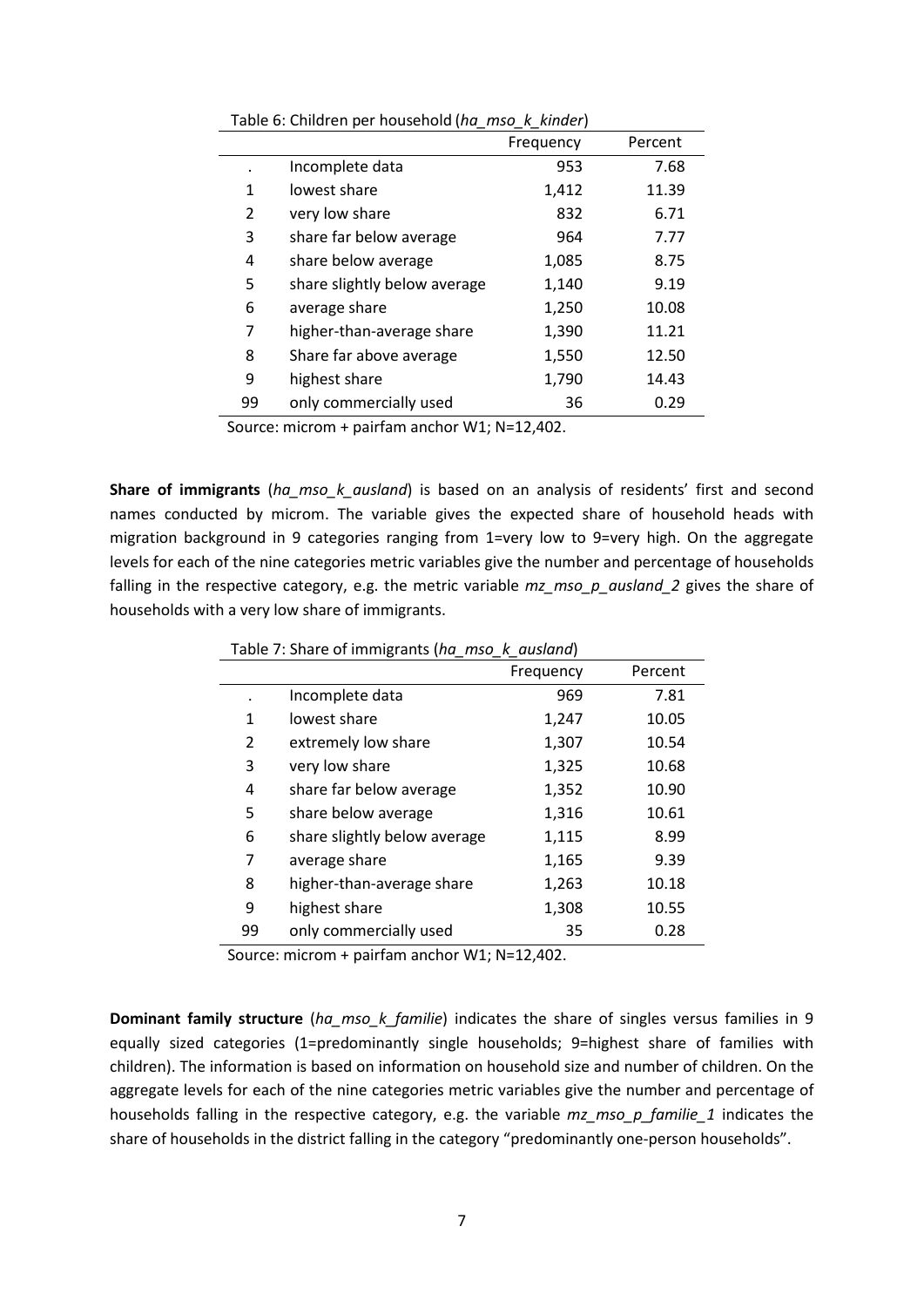| rapic of children per household (nd mso in milder) |           |         |  |  |
|----------------------------------------------------|-----------|---------|--|--|
|                                                    | Frequency | Percent |  |  |
| Incomplete data                                    | 953       | 7.68    |  |  |
| lowest share                                       | 1,412     | 11.39   |  |  |
| very low share                                     | 832       | 6.71    |  |  |
| share far below average                            | 964       | 7.77    |  |  |
| share below average                                | 1,085     | 8.75    |  |  |
| share slightly below average                       | 1,140     | 9.19    |  |  |
| average share                                      | 1,250     | 10.08   |  |  |
| higher-than-average share                          | 1,390     | 11.21   |  |  |
| Share far above average                            | 1,550     | 12.50   |  |  |
| highest share                                      | 1,790     | 14.43   |  |  |
| only commercially used                             | 36        | 0.29    |  |  |
|                                                    |           |         |  |  |

Table 6: Children per household (*ha\_mso\_k\_kinder*)

**Share of immigrants** (*ha\_mso\_k\_ausland*) is based on an analysis of residents' first and second names conducted by microm. The variable gives the expected share of household heads with migration background in 9 categories ranging from 1=very low to 9=very high. On the aggregate levels for each of the nine categories metric variables give the number and percentage of households falling in the respective category, e.g. the metric variable *mz\_mso\_p\_ausland\_2* gives the share of households with a very low share of immigrants.

|    | ັ                            | Frequency | Percent |
|----|------------------------------|-----------|---------|
|    | Incomplete data              | 969       | 7.81    |
| 1  | lowest share                 | 1,247     | 10.05   |
| 2  | extremely low share          | 1,307     | 10.54   |
| 3  | very low share               | 1,325     | 10.68   |
| 4  | share far below average      | 1,352     | 10.90   |
| 5  | share below average          | 1,316     | 10.61   |
| 6  | share slightly below average | 1,115     | 8.99    |
| 7  | average share                | 1,165     | 9.39    |
| 8  | higher-than-average share    | 1,263     | 10.18   |
| 9  | highest share                | 1,308     | 10.55   |
| 99 | only commercially used       | 35        | 0.28    |

Table 7: Share of immigrants (*ha\_mso\_k\_ausland*)

Source: microm + pairfam anchor W1; N=12,402.

**Dominant family structure** (*ha\_mso\_k\_familie*) indicates the share of singles versus families in 9 equally sized categories (1=predominantly single households; 9=highest share of families with children). The information is based on information on household size and number of children. On the aggregate levels for each of the nine categories metric variables give the number and percentage of households falling in the respective category, e.g. the variable *mz\_mso\_p\_familie\_1* indicates the share of households in the district falling in the category "predominantly one-person households".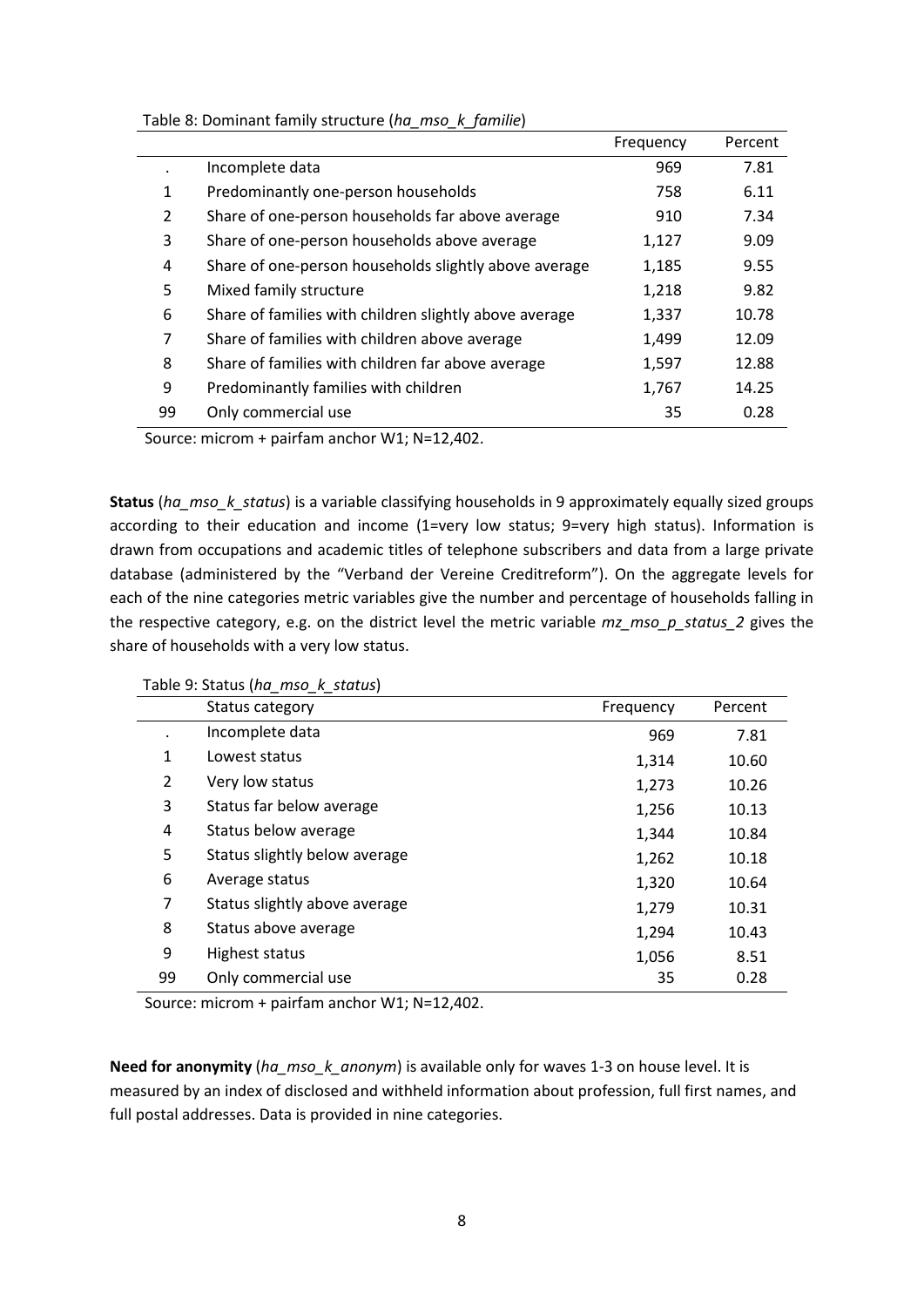| Table 8: Dominant family structure (ha_mso_k_familie) |  |  |  |
|-------------------------------------------------------|--|--|--|
|-------------------------------------------------------|--|--|--|

|                |                                                        | Frequency | Percent |
|----------------|--------------------------------------------------------|-----------|---------|
|                | Incomplete data                                        | 969       | 7.81    |
| 1              | Predominantly one-person households                    | 758       | 6.11    |
| $\overline{2}$ | Share of one-person households far above average       | 910       | 7.34    |
| 3              | Share of one-person households above average           | 1,127     | 9.09    |
| 4              | Share of one-person households slightly above average  | 1,185     | 9.55    |
| 5              | Mixed family structure                                 | 1,218     | 9.82    |
| 6              | Share of families with children slightly above average | 1,337     | 10.78   |
| 7              | Share of families with children above average          | 1,499     | 12.09   |
| 8              | Share of families with children far above average      | 1,597     | 12.88   |
| 9              | Predominantly families with children                   | 1,767     | 14.25   |
| 99             | Only commercial use                                    | 35        | 0.28    |

**Status** (*ha\_mso\_k\_status*) is a variable classifying households in 9 approximately equally sized groups according to their education and income (1=very low status; 9=very high status). Information is drawn from occupations and academic titles of telephone subscribers and data from a large private database (administered by the "Verband der Vereine Creditreform"). On the aggregate levels for each of the nine categories metric variables give the number and percentage of households falling in the respective category, e.g. on the district level the metric variable *mz\_mso\_p\_status\_2* gives the share of households with a very low status.

|                | Status category               | Frequency | Percent |
|----------------|-------------------------------|-----------|---------|
|                | Incomplete data               | 969       | 7.81    |
| 1              | Lowest status                 | 1,314     | 10.60   |
| $\overline{2}$ | Very low status               | 1,273     | 10.26   |
| 3              | Status far below average      | 1,256     | 10.13   |
| 4              | Status below average          | 1,344     | 10.84   |
| 5              | Status slightly below average | 1,262     | 10.18   |
| 6              | Average status                | 1,320     | 10.64   |
| 7              | Status slightly above average | 1,279     | 10.31   |
| 8              | Status above average          | 1,294     | 10.43   |
| 9              | Highest status                | 1,056     | 8.51    |
| 99             | Only commercial use           | 35        | 0.28    |
|                |                               |           |         |

Table 9: Status (*ha\_mso\_k\_status*)

Source: microm + pairfam anchor W1; N=12,402.

**Need for anonymity** (*ha\_mso\_k\_anonym*) is available only for waves 1-3 on house level. It is measured by an index of disclosed and withheld information about profession, full first names, and full postal addresses. Data is provided in nine categories.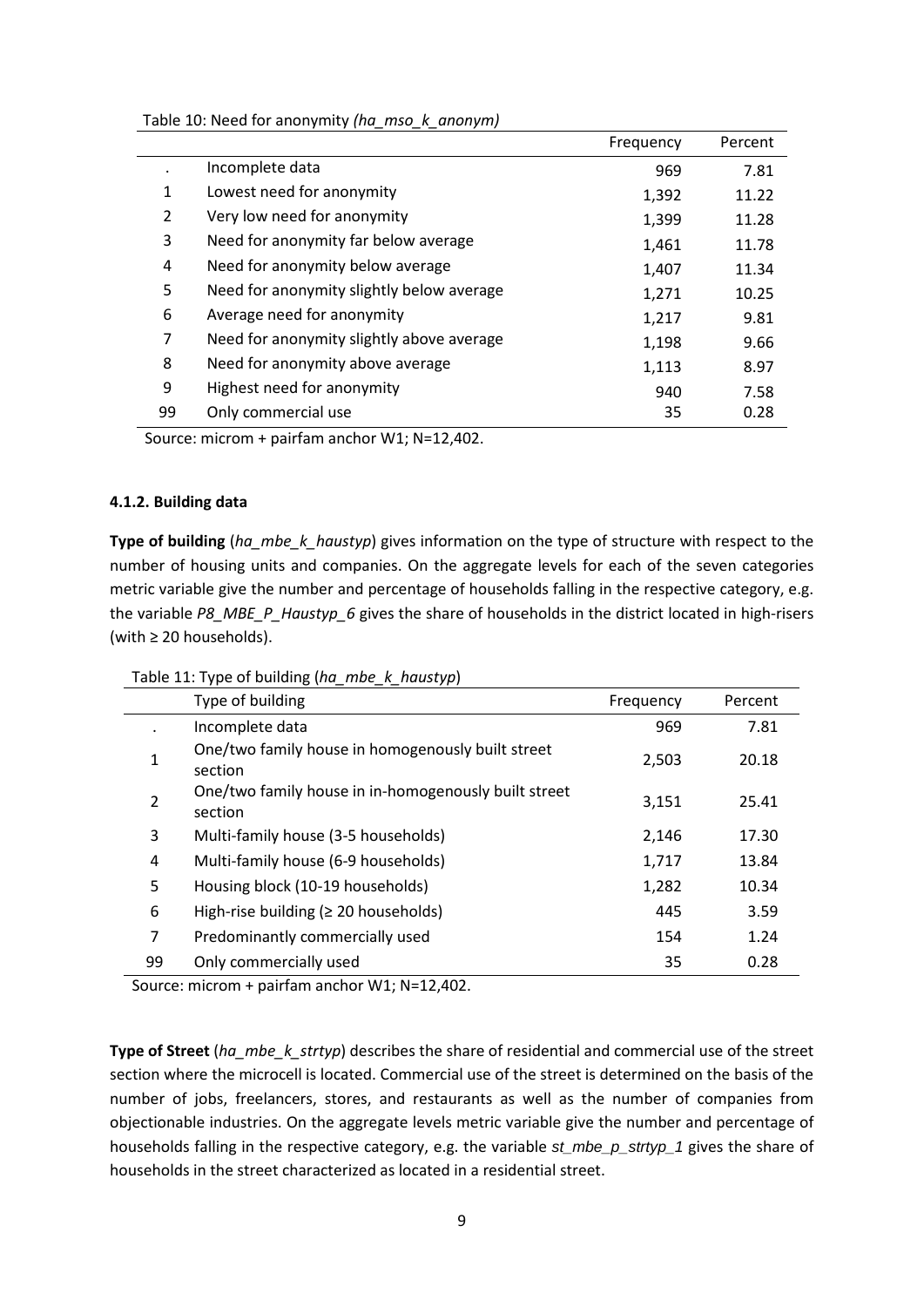| Table 10: Need for anonymity (ha_mso_k_anonym) |  |  |  |
|------------------------------------------------|--|--|--|
|------------------------------------------------|--|--|--|

|                |                                           | Frequency | Percent |
|----------------|-------------------------------------------|-----------|---------|
|                | Incomplete data                           | 969       | 7.81    |
| 1              | Lowest need for anonymity                 | 1,392     | 11.22   |
| $\overline{2}$ | Very low need for anonymity               | 1,399     | 11.28   |
| 3              | Need for anonymity far below average      | 1,461     | 11.78   |
| 4              | Need for anonymity below average          | 1,407     | 11.34   |
| 5              | Need for anonymity slightly below average | 1,271     | 10.25   |
| 6              | Average need for anonymity                | 1,217     | 9.81    |
| 7              | Need for anonymity slightly above average | 1,198     | 9.66    |
| 8              | Need for anonymity above average          | 1,113     | 8.97    |
| 9              | Highest need for anonymity                | 940       | 7.58    |
| 99             | Only commercial use                       | 35        | 0.28    |

## **4.1.2. Building data**

**Type of building** (ha\_mbe\_k\_haustyp) gives information on the type of structure with respect to the number of housing units and companies. On the aggregate levels for each of the seven categories metric variable give the number and percentage of households falling in the respective category, e.g. the variable *P8\_MBE\_P\_Haustyp\_6* gives the share of households in the district located in high-risers (with ≥ 20 households).

| Table 11: Type of building (ha_mbe_k_haustyp) |  |  |  |  |
|-----------------------------------------------|--|--|--|--|
|-----------------------------------------------|--|--|--|--|

|    | . .<br>, , ,                                                    |           |         |
|----|-----------------------------------------------------------------|-----------|---------|
|    | Type of building                                                | Frequency | Percent |
|    | Incomplete data                                                 | 969       | 7.81    |
| 1  | One/two family house in homogenously built street<br>section    | 2,503     | 20.18   |
| 2  | One/two family house in in-homogenously built street<br>section | 3,151     | 25.41   |
| 3  | Multi-family house (3-5 households)                             | 2,146     | 17.30   |
| 4  | Multi-family house (6-9 households)                             | 1,717     | 13.84   |
| 5  | Housing block (10-19 households)                                | 1,282     | 10.34   |
| 6  | High-rise building ( $\geq 20$ households)                      | 445       | 3.59    |
| 7  | Predominantly commercially used                                 | 154       | 1.24    |
| 99 | Only commercially used                                          | 35        | 0.28    |

Source: microm + pairfam anchor W1; N=12,402.

**Type of Street** (*ha\_mbe\_k\_strtyp*) describes the share of residential and commercial use of the street section where the microcell is located. Commercial use of the street is determined on the basis of the number of jobs, freelancers, stores, and restaurants as well as the number of companies from objectionable industries. On the aggregate levels metric variable give the number and percentage of households falling in the respective category, e.g. the variable *st\_mbe\_p\_strtyp\_1* gives the share of households in the street characterized as located in a residential street.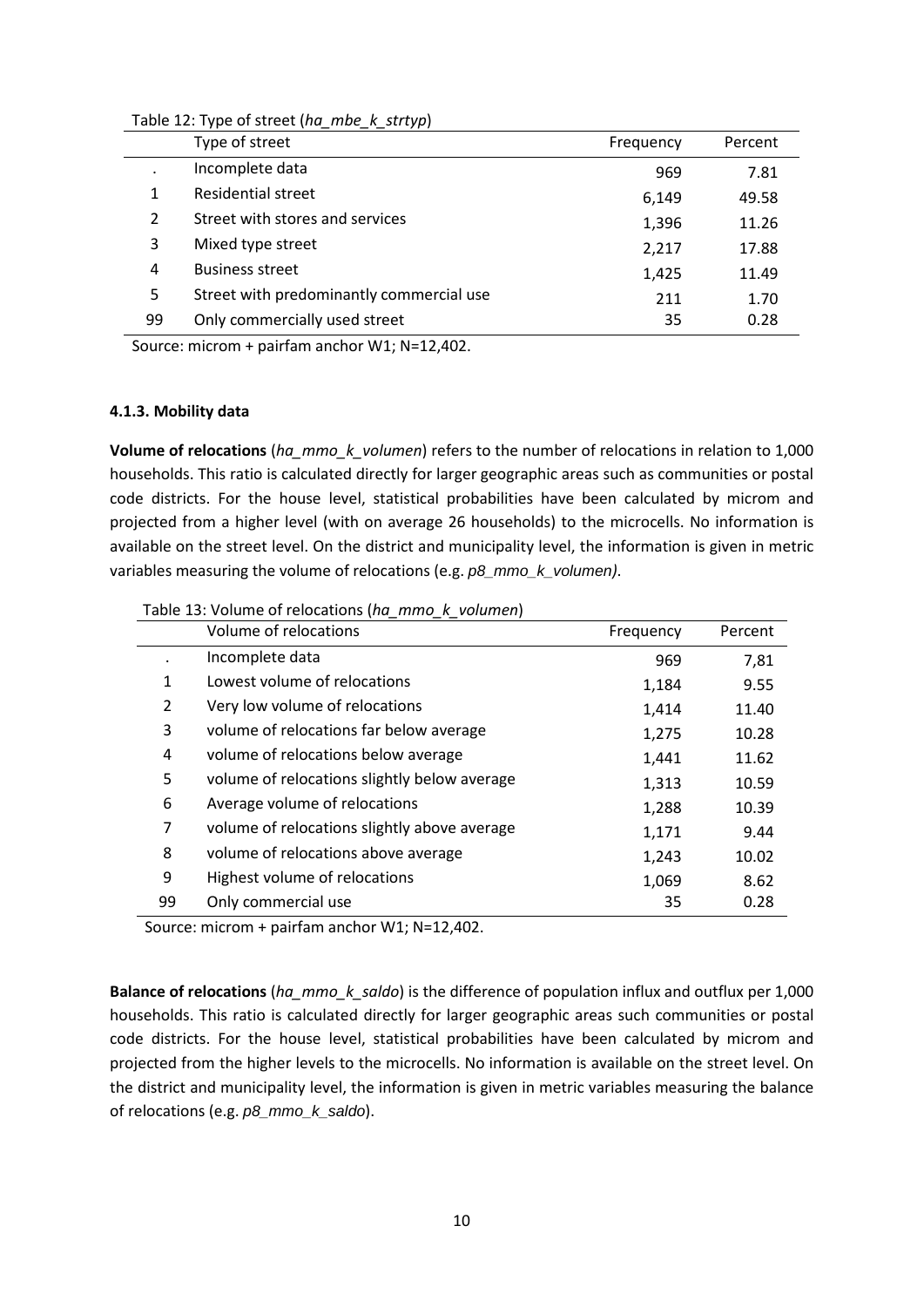| Table 12: Type of street (ha_mbe_k_strtyp) |  |  |  |  |  |
|--------------------------------------------|--|--|--|--|--|
|--------------------------------------------|--|--|--|--|--|

|    | Type of street                           | Frequency | Percent |
|----|------------------------------------------|-----------|---------|
|    | Incomplete data                          | 969       | 7.81    |
| 1  | Residential street                       | 6,149     | 49.58   |
| 2  | Street with stores and services          | 1,396     | 11.26   |
| 3  | Mixed type street                        | 2,217     | 17.88   |
| 4  | <b>Business street</b>                   | 1,425     | 11.49   |
| 5  | Street with predominantly commercial use | 211       | 1.70    |
| 99 | Only commercially used street            | 35        | 0.28    |

#### **4.1.3. Mobility data**

**Volume of relocations** (*ha\_mmo\_k\_volumen*) refers to the number of relocations in relation to 1,000 households. This ratio is calculated directly for larger geographic areas such as communities or postal code districts. For the house level, statistical probabilities have been calculated by microm and projected from a higher level (with on average 26 households) to the microcells. No information is available on the street level. On the district and municipality level, the information is given in metric variables measuring the volume of relocations (e.g. *p8\_mmo\_k\_volumen)*.

Table 13: Volume of relocations (*ha\_mmo\_k\_volumen*)

|    | Volume of relocations                        | Frequency | Percent |
|----|----------------------------------------------|-----------|---------|
|    | Incomplete data                              | 969       | 7,81    |
| 1  | Lowest volume of relocations                 | 1,184     | 9.55    |
| 2  | Very low volume of relocations               | 1,414     | 11.40   |
| 3  | volume of relocations far below average      | 1,275     | 10.28   |
| 4  | volume of relocations below average          | 1,441     | 11.62   |
| 5  | volume of relocations slightly below average | 1,313     | 10.59   |
| 6  | Average volume of relocations                | 1,288     | 10.39   |
| 7  | volume of relocations slightly above average | 1,171     | 9.44    |
| 8  | volume of relocations above average          | 1,243     | 10.02   |
| 9  | Highest volume of relocations                | 1,069     | 8.62    |
| 99 | Only commercial use                          | 35        | 0.28    |

Source: microm + pairfam anchor W1; N=12,402.

**Balance of relocations** (*ha\_mmo\_k\_saldo*) is the difference of population influx and outflux per 1,000 households. This ratio is calculated directly for larger geographic areas such communities or postal code districts. For the house level, statistical probabilities have been calculated by microm and projected from the higher levels to the microcells. No information is available on the street level. On the district and municipality level, the information is given in metric variables measuring the balance of relocations (e.g. *p8\_mmo\_k\_saldo*).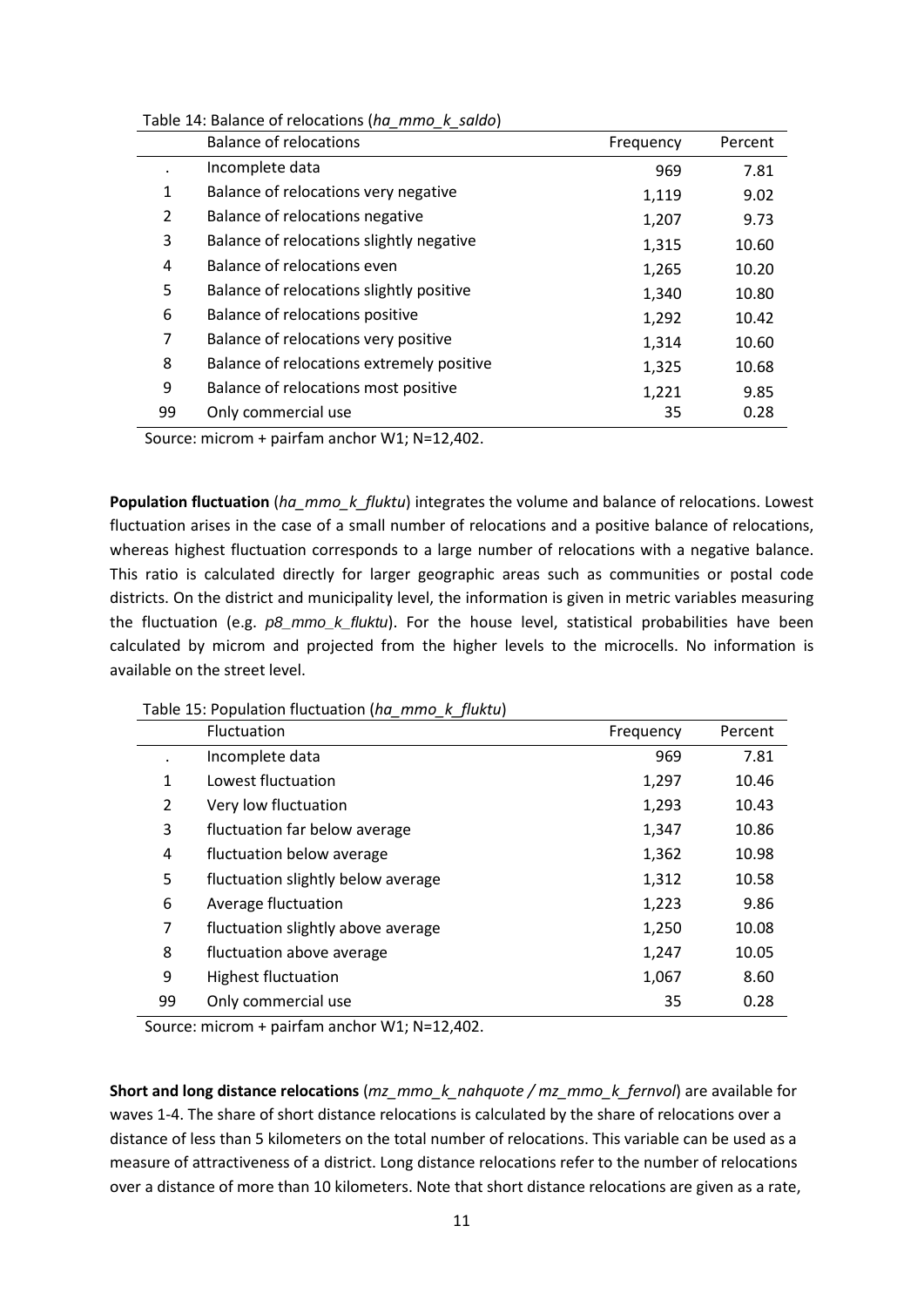| Table 14: Balance of relocations (ha_mmo_k_saldo) |  |  |  |  |
|---------------------------------------------------|--|--|--|--|
|---------------------------------------------------|--|--|--|--|

|    | <b>Balance of relocations</b>             | Frequency | Percent |
|----|-------------------------------------------|-----------|---------|
|    | Incomplete data                           | 969       | 7.81    |
| 1  | Balance of relocations very negative      | 1,119     | 9.02    |
| 2  | Balance of relocations negative           | 1,207     | 9.73    |
| 3  | Balance of relocations slightly negative  | 1,315     | 10.60   |
| 4  | Balance of relocations even               | 1,265     | 10.20   |
| 5  | Balance of relocations slightly positive  | 1,340     | 10.80   |
| 6  | Balance of relocations positive           | 1,292     | 10.42   |
| 7  | Balance of relocations very positive      | 1,314     | 10.60   |
| 8  | Balance of relocations extremely positive | 1,325     | 10.68   |
| 9  | Balance of relocations most positive      | 1,221     | 9.85    |
| 99 | Only commercial use                       | 35        | 0.28    |

**Population fluctuation** (*ha\_mmo\_k\_fluktu*) integrates the volume and balance of relocations. Lowest fluctuation arises in the case of a small number of relocations and a positive balance of relocations, whereas highest fluctuation corresponds to a large number of relocations with a negative balance. This ratio is calculated directly for larger geographic areas such as communities or postal code districts. On the district and municipality level, the information is given in metric variables measuring the fluctuation (e.g. *p8\_mmo\_k\_fluktu*). For the house level, statistical probabilities have been calculated by microm and projected from the higher levels to the microcells. No information is available on the street level.

Table 15: Population fluctuation (*ha\_mmo\_k\_fluktu*)

|    | Fluctuation                        | Frequency | Percent |
|----|------------------------------------|-----------|---------|
|    | Incomplete data                    | 969       | 7.81    |
| 1  | Lowest fluctuation                 | 1,297     | 10.46   |
| 2  | Very low fluctuation               | 1,293     | 10.43   |
| 3  | fluctuation far below average      | 1,347     | 10.86   |
| 4  | fluctuation below average          | 1,362     | 10.98   |
| 5  | fluctuation slightly below average | 1,312     | 10.58   |
| 6  | Average fluctuation                | 1,223     | 9.86    |
| 7  | fluctuation slightly above average | 1,250     | 10.08   |
| 8  | fluctuation above average          | 1,247     | 10.05   |
| 9  | <b>Highest fluctuation</b>         | 1,067     | 8.60    |
| 99 | Only commercial use                | 35        | 0.28    |

Source: microm + pairfam anchor W1; N=12,402.

**Short and long distance relocations** (*mz\_mmo\_k\_nahquote / mz\_mmo\_k\_fernvol*) are available for waves 1-4. The share of short distance relocations is calculated by the share of relocations over a distance of less than 5 kilometers on the total number of relocations. This variable can be used as a measure of attractiveness of a district. Long distance relocations refer to the number of relocations over a distance of more than 10 kilometers. Note that short distance relocations are given as a rate,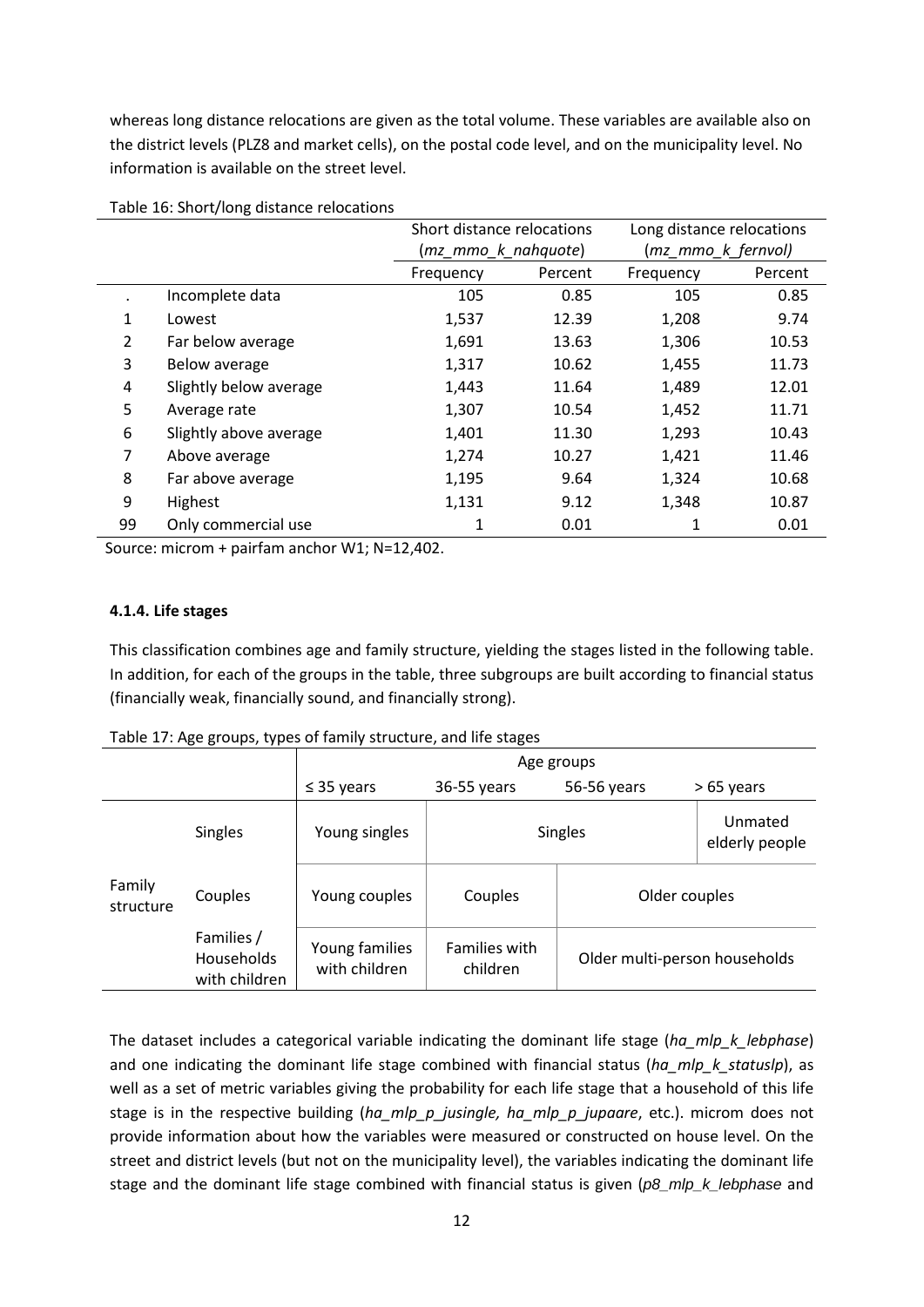whereas long distance relocations are given as the total volume. These variables are available also on the district levels (PLZ8 and market cells), on the postal code level, and on the municipality level. No information is available on the street level.

|                |                        | Short distance relocations |         | Long distance relocations |         |
|----------------|------------------------|----------------------------|---------|---------------------------|---------|
|                |                        | (mz mmo k nahquote)        |         | (mz_mmo_k_fernvol)        |         |
|                |                        | Frequency                  | Percent | Frequency                 | Percent |
| $\blacksquare$ | Incomplete data        | 105                        | 0.85    | 105                       | 0.85    |
| 1              | Lowest                 | 1,537                      | 12.39   | 1,208                     | 9.74    |
| 2              | Far below average      | 1,691                      | 13.63   | 1,306                     | 10.53   |
| 3              | Below average          | 1,317                      | 10.62   | 1,455                     | 11.73   |
| 4              | Slightly below average | 1,443                      | 11.64   | 1,489                     | 12.01   |
| 5              | Average rate           | 1,307                      | 10.54   | 1,452                     | 11.71   |
| 6              | Slightly above average | 1,401                      | 11.30   | 1,293                     | 10.43   |
| 7              | Above average          | 1,274                      | 10.27   | 1,421                     | 11.46   |
| 8              | Far above average      | 1,195                      | 9.64    | 1,324                     | 10.68   |
| 9              | Highest                | 1,131                      | 9.12    | 1,348                     | 10.87   |
| 99             | Only commercial use    | 1                          | 0.01    | 1                         | 0.01    |

Table 16: Short/long distance relocations

Source: microm + pairfam anchor W1; N=12,402.

## **4.1.4. Life stages**

This classification combines age and family structure, yielding the stages listed in the following table. In addition, for each of the groups in the table, three subgroups are built according to financial status (financially weak, financially sound, and financially strong).

#### Table 17: Age groups, types of family structure, and life stages

|                     |                                           | Age groups                      |                      |                                                            |                           |
|---------------------|-------------------------------------------|---------------------------------|----------------------|------------------------------------------------------------|---------------------------|
|                     |                                           | $\leq$ 35 years                 | 36-55 years          | 56-56 years                                                | > 65 years                |
|                     | <b>Singles</b>                            | Young singles                   |                      | <b>Singles</b>                                             | Unmated<br>elderly people |
| Family<br>structure | Couples                                   | Young couples                   | Couples              | Older couples<br>Older multi-person households<br>children |                           |
|                     | Families /<br>Households<br>with children | Young families<br>with children | <b>Families with</b> |                                                            |                           |

The dataset includes a categorical variable indicating the dominant life stage (*ha\_mlp\_k\_lebphase*) and one indicating the dominant life stage combined with financial status (*ha\_mlp\_k\_statuslp*), as well as a set of metric variables giving the probability for each life stage that a household of this life stage is in the respective building (*ha\_mlp\_p\_jusingle, ha\_mlp\_p\_jupaare*, etc.). microm does not provide information about how the variables were measured or constructed on house level. On the street and district levels (but not on the municipality level), the variables indicating the dominant life stage and the dominant life stage combined with financial status is given (*p8\_mlp\_k\_lebphase* and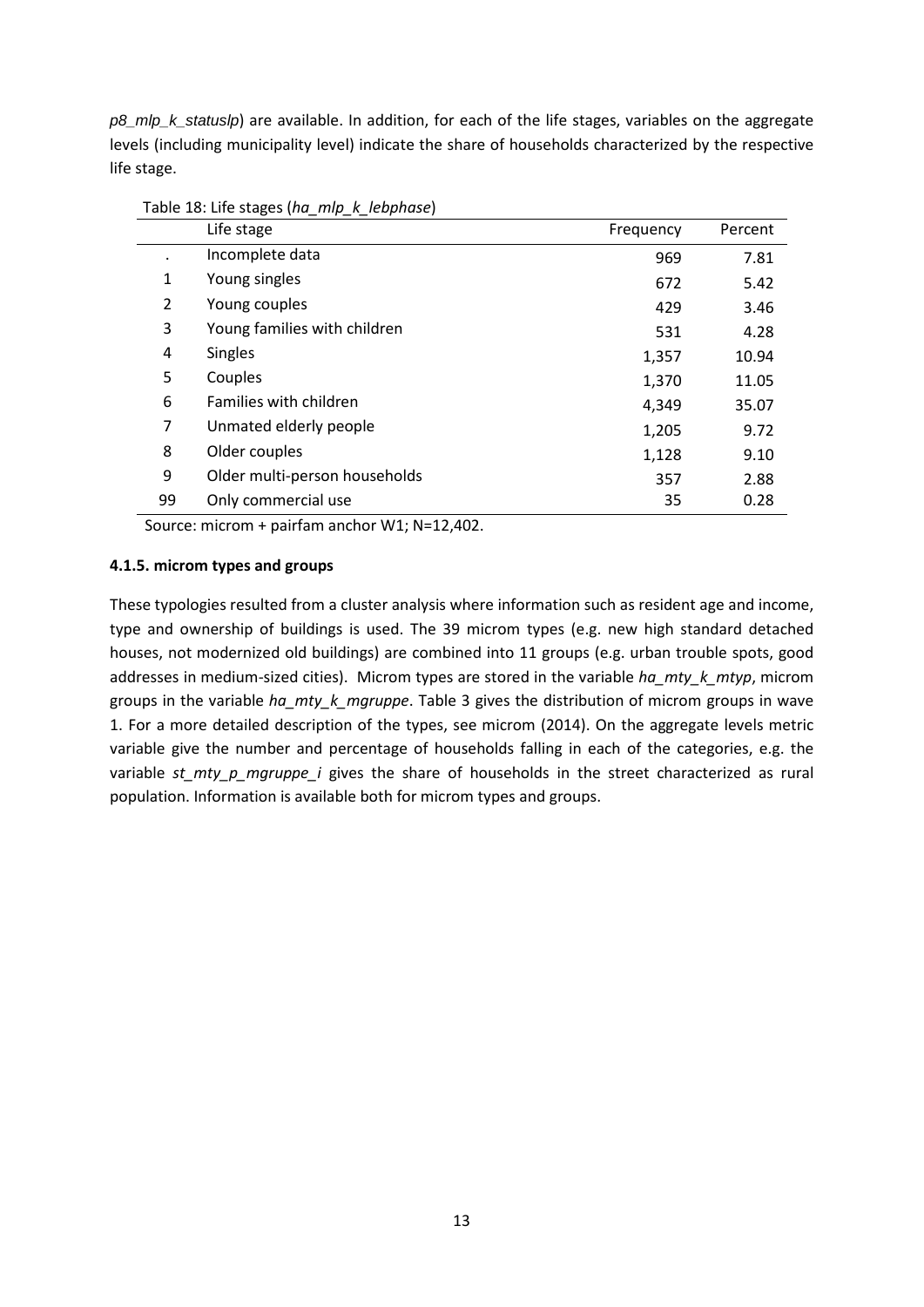*p8\_mlp\_k\_statuslp*) are available. In addition, for each of the life stages, variables on the aggregate levels (including municipality level) indicate the share of households characterized by the respective life stage.

|                | ————<br>$-1$<br>Life stage    | Frequency | Percent |
|----------------|-------------------------------|-----------|---------|
|                | Incomplete data               | 969       | 7.81    |
| 1              | Young singles                 | 672       | 5.42    |
| $\overline{2}$ | Young couples                 | 429       | 3.46    |
| 3              | Young families with children  | 531       | 4.28    |
| 4              | <b>Singles</b>                | 1,357     | 10.94   |
| 5              | Couples                       | 1,370     | 11.05   |
| 6              | Families with children        | 4,349     | 35.07   |
| 7              | Unmated elderly people        | 1,205     | 9.72    |
| 8              | Older couples                 | 1,128     | 9.10    |
| 9              | Older multi-person households | 357       | 2.88    |
| 99             | Only commercial use           | 35        | 0.28    |

Table 18: Life stages (*ha\_mlp\_k\_lebphase*)

Source: microm + pairfam anchor W1; N=12,402.

#### **4.1.5. microm types and groups**

These typologies resulted from a cluster analysis where information such as resident age and income, type and ownership of buildings is used. The 39 microm types (e.g. new high standard detached houses, not modernized old buildings) are combined into 11 groups (e.g. urban trouble spots, good addresses in medium-sized cities). Microm types are stored in the variable *ha\_mty\_k\_mtyp*, microm groups in the variable *ha\_mty\_k\_mgruppe*. Table 3 gives the distribution of microm groups in wave 1. For a more detailed description of the types, see microm (2014). On the aggregate levels metric variable give the number and percentage of households falling in each of the categories, e.g. the variable *st\_mty\_p\_mgruppe\_i* gives the share of households in the street characterized as rural population. Information is available both for microm types and groups.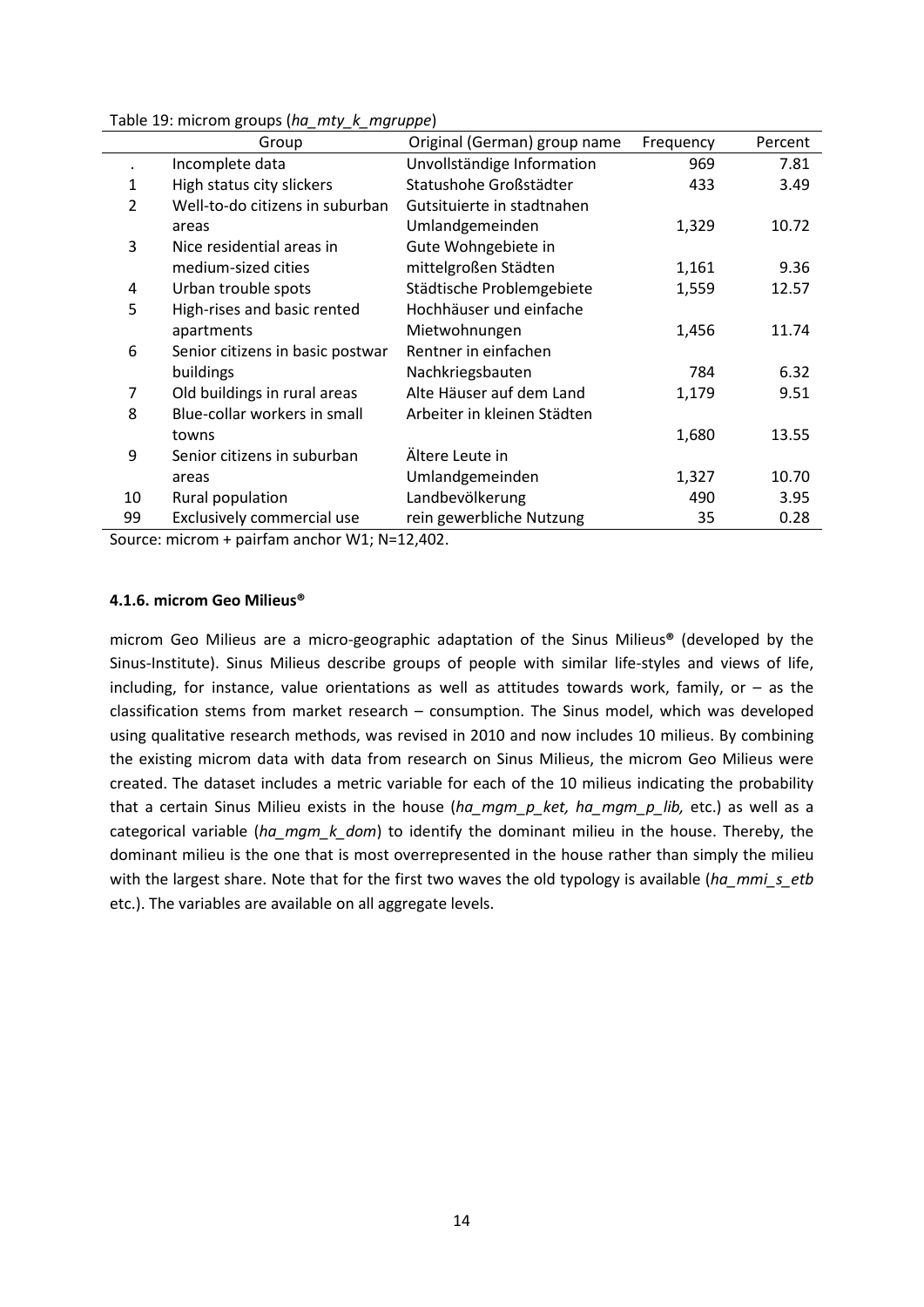|                | Group                            | Original (German) group name | Frequency | Percent |
|----------------|----------------------------------|------------------------------|-----------|---------|
|                | Incomplete data                  | Unvollständige Information   | 969       | 7.81    |
| 1              | High status city slickers        | Statushohe Großstädter       | 433       | 3.49    |
| $\overline{2}$ | Well-to-do citizens in suburban  | Gutsituierte in stadtnahen   |           |         |
|                | areas                            | Umlandgemeinden              | 1,329     | 10.72   |
| 3              | Nice residential areas in        | Gute Wohngebiete in          |           |         |
|                | medium-sized cities              | mittelgroßen Städten         | 1,161     | 9.36    |
| 4              | Urban trouble spots              | Städtische Problemgebiete    | 1,559     | 12.57   |
| 5              | High-rises and basic rented      | Hochhäuser und einfache      |           |         |
|                | apartments                       | Mietwohnungen                | 1,456     | 11.74   |
| 6              | Senior citizens in basic postwar | Rentner in einfachen         |           |         |
|                | buildings                        | Nachkriegsbauten             | 784       | 6.32    |
| 7              | Old buildings in rural areas     | Alte Häuser auf dem Land     | 1,179     | 9.51    |
| 8              | Blue-collar workers in small     | Arbeiter in kleinen Städten  |           |         |
|                | towns                            |                              | 1,680     | 13.55   |
| 9              | Senior citizens in suburban      | Ältere Leute in              |           |         |
|                | areas                            | Umlandgemeinden              | 1,327     | 10.70   |
| 10             | Rural population                 | Landbevölkerung              | 490       | 3.95    |
| 99             | Exclusively commercial use       | rein gewerbliche Nutzung     | 35        | 0.28    |

Table 19: microm groups (*ha\_mty\_k\_mgruppe*)

#### **4.1.6. microm Geo Milieus®**

microm Geo Milieus are a micro-geographic adaptation of the Sinus Milieus**®** (developed by the Sinus-Institute). Sinus Milieus describe groups of people with similar life-styles and views of life, including, for instance, value orientations as well as attitudes towards work, family, or  $-$  as the classification stems from market research – consumption. The Sinus model, which was developed using qualitative research methods, was revised in 2010 and now includes 10 milieus. By combining the existing microm data with data from research on Sinus Milieus, the microm Geo Milieus were created. The dataset includes a metric variable for each of the 10 milieus indicating the probability that a certain Sinus Milieu exists in the house (*ha\_mgm\_p\_ket, ha\_mgm\_p\_lib,* etc.) as well as a categorical variable (*ha\_mgm\_k\_dom*) to identify the dominant milieu in the house. Thereby, the dominant milieu is the one that is most overrepresented in the house rather than simply the milieu with the largest share. Note that for the first two waves the old typology is available (ha\_mmi\_s\_etb etc.). The variables are available on all aggregate levels.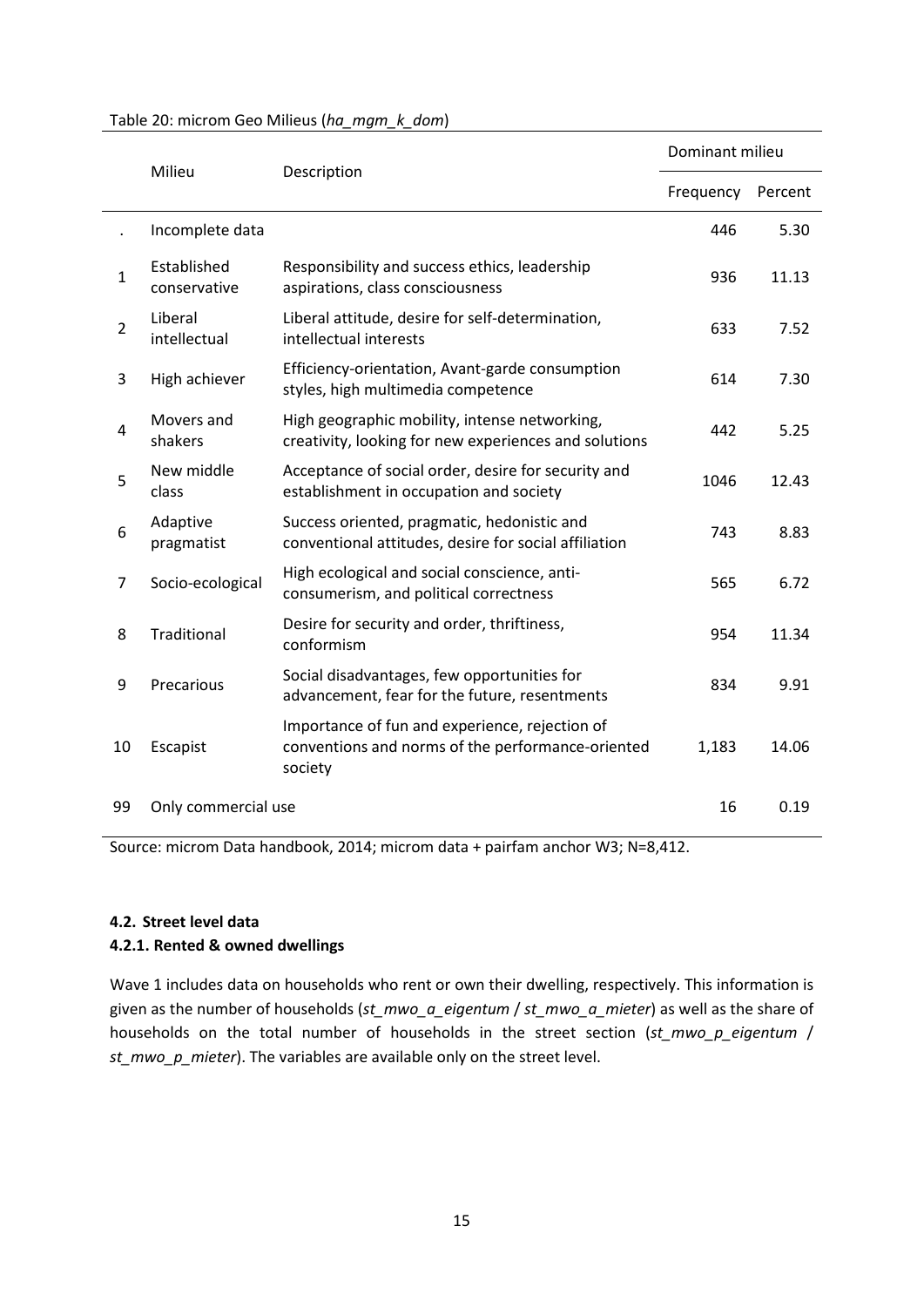|                | Milieu<br>Description       |                                                                                                                | Dominant milieu |         |
|----------------|-----------------------------|----------------------------------------------------------------------------------------------------------------|-----------------|---------|
|                |                             |                                                                                                                | Frequency       | Percent |
|                | Incomplete data             |                                                                                                                | 446             | 5.30    |
| $\mathbf{1}$   | Established<br>conservative | Responsibility and success ethics, leadership<br>aspirations, class consciousness                              | 936             | 11.13   |
| $\overline{2}$ | Liberal<br>intellectual     | Liberal attitude, desire for self-determination,<br>intellectual interests                                     | 633             | 7.52    |
| 3              | High achiever               | Efficiency-orientation, Avant-garde consumption<br>styles, high multimedia competence                          | 614             | 7.30    |
| 4              | Movers and<br>shakers       | High geographic mobility, intense networking,<br>creativity, looking for new experiences and solutions         | 442             | 5.25    |
| 5              | New middle<br>class         | Acceptance of social order, desire for security and<br>establishment in occupation and society                 | 1046            | 12.43   |
| 6              | Adaptive<br>pragmatist      | Success oriented, pragmatic, hedonistic and<br>conventional attitudes, desire for social affiliation           | 743             | 8.83    |
| $\overline{7}$ | Socio-ecological            | High ecological and social conscience, anti-<br>consumerism, and political correctness                         | 565             | 6.72    |
| 8              | Traditional                 | Desire for security and order, thriftiness,<br>conformism                                                      | 954             | 11.34   |
| 9              | Precarious                  | Social disadvantages, few opportunities for<br>advancement, fear for the future, resentments                   | 834             | 9.91    |
| 10             | Escapist                    | Importance of fun and experience, rejection of<br>conventions and norms of the performance-oriented<br>society | 1,183           | 14.06   |
| 99             | Only commercial use         |                                                                                                                | 16              | 0.19    |

#### Table 20: microm Geo Milieus (*ha\_mgm\_k\_dom*)

Source: microm Data handbook, 2014; microm data + pairfam anchor W3; N=8,412.

## **4.2. Street level data**

#### **4.2.1. Rented & owned dwellings**

Wave 1 includes data on households who rent or own their dwelling, respectively. This information is given as the number of households (*st\_mwo\_a\_eigentum* / *st\_mwo\_a\_mieter*) as well as the share of households on the total number of households in the street section (*st\_mwo\_p\_eigentum* / *st\_mwo\_p\_mieter*). The variables are available only on the street level.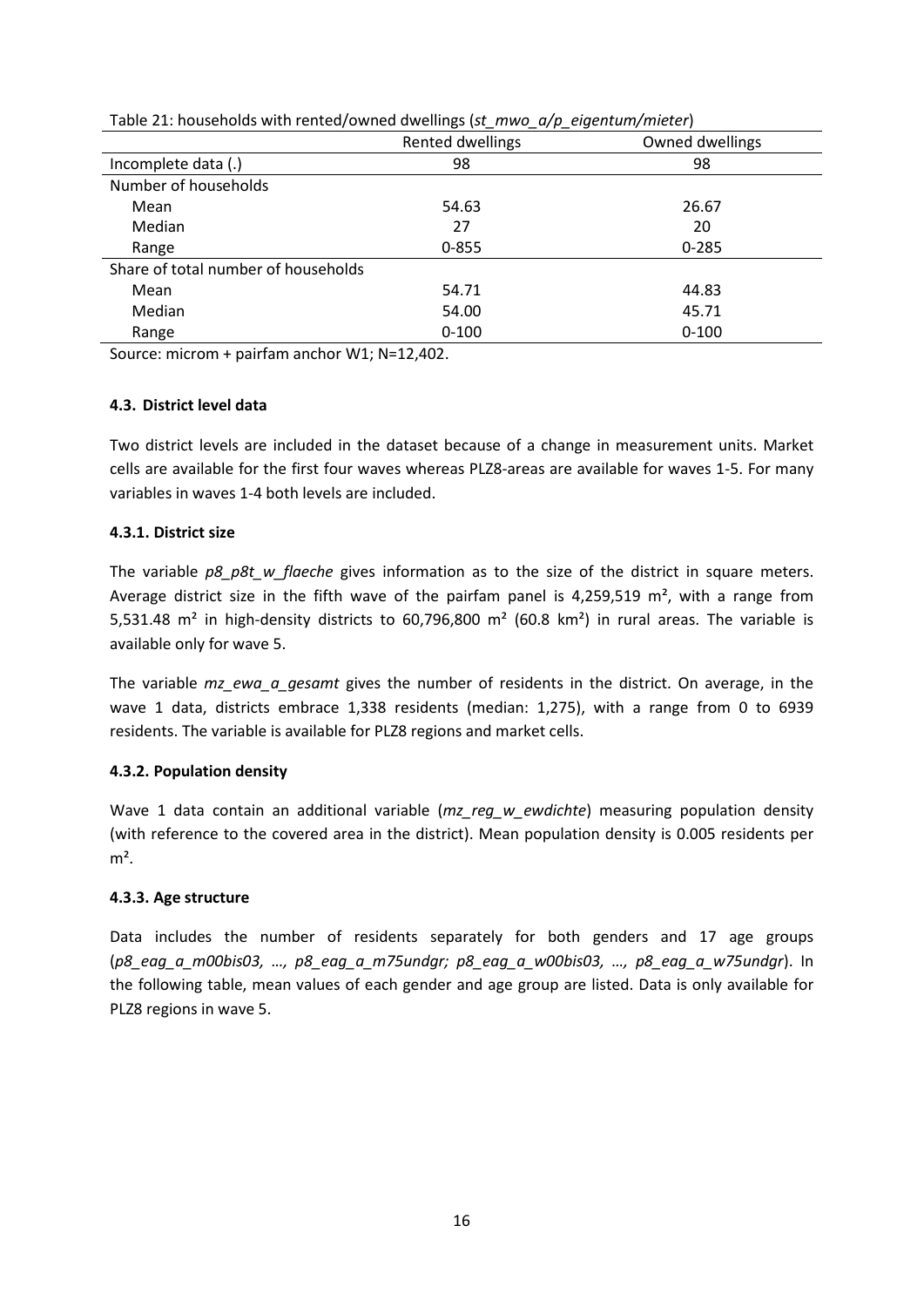|                                     | - - -<br>_ _ _<br>Rented dwellings | Owned dwellings |
|-------------------------------------|------------------------------------|-----------------|
| Incomplete data (.)                 | 98                                 | 98              |
| Number of households                |                                    |                 |
| Mean                                | 54.63                              | 26.67           |
| Median                              | 27                                 | 20              |
| Range                               | $0 - 855$                          | $0 - 285$       |
| Share of total number of households |                                    |                 |
| Mean                                | 54.71                              | 44.83           |
| Median                              | 54.00                              | 45.71           |
| Range                               | $0 - 100$                          | $0 - 100$       |

Table 21: households with rented/owned dwellings (*st\_mwo\_a/p\_eigentum/mieter*)

## **4.3. District level data**

Two district levels are included in the dataset because of a change in measurement units. Market cells are available for the first four waves whereas PLZ8-areas are available for waves 1-5. For many variables in waves 1-4 both levels are included.

## **4.3.1. District size**

The variable *p8\_p8t\_w\_flaeche\_gives* information as to the size of the district in square meters. Average district size in the fifth wave of the pairfam panel is 4,259,519  $m<sup>2</sup>$ , with a range from 5,531.48 m<sup>2</sup> in high-density districts to 60,796,800 m<sup>2</sup> (60.8 km<sup>2</sup>) in rural areas. The variable is available only for wave 5.

The variable *mz\_ewa\_a\_gesamt* gives the number of residents in the district. On average, in the wave 1 data, districts embrace 1,338 residents (median: 1,275), with a range from 0 to 6939 residents. The variable is available for PLZ8 regions and market cells.

#### **4.3.2. Population density**

Wave 1 data contain an additional variable (*mz\_reg\_w\_ewdichte*) measuring population density (with reference to the covered area in the district). Mean population density is 0.005 residents per  $m<sup>2</sup>$ .

#### **4.3.3. Age structure**

Data includes the number of residents separately for both genders and 17 age groups (*p8\_eag\_a\_m00bis03, …, p8\_eag\_a\_m75undgr; p8\_eag\_a\_w00bis03, …, p8\_eag\_a\_w75undgr*). In the following table, mean values of each gender and age group are listed. Data is only available for PLZ8 regions in wave 5.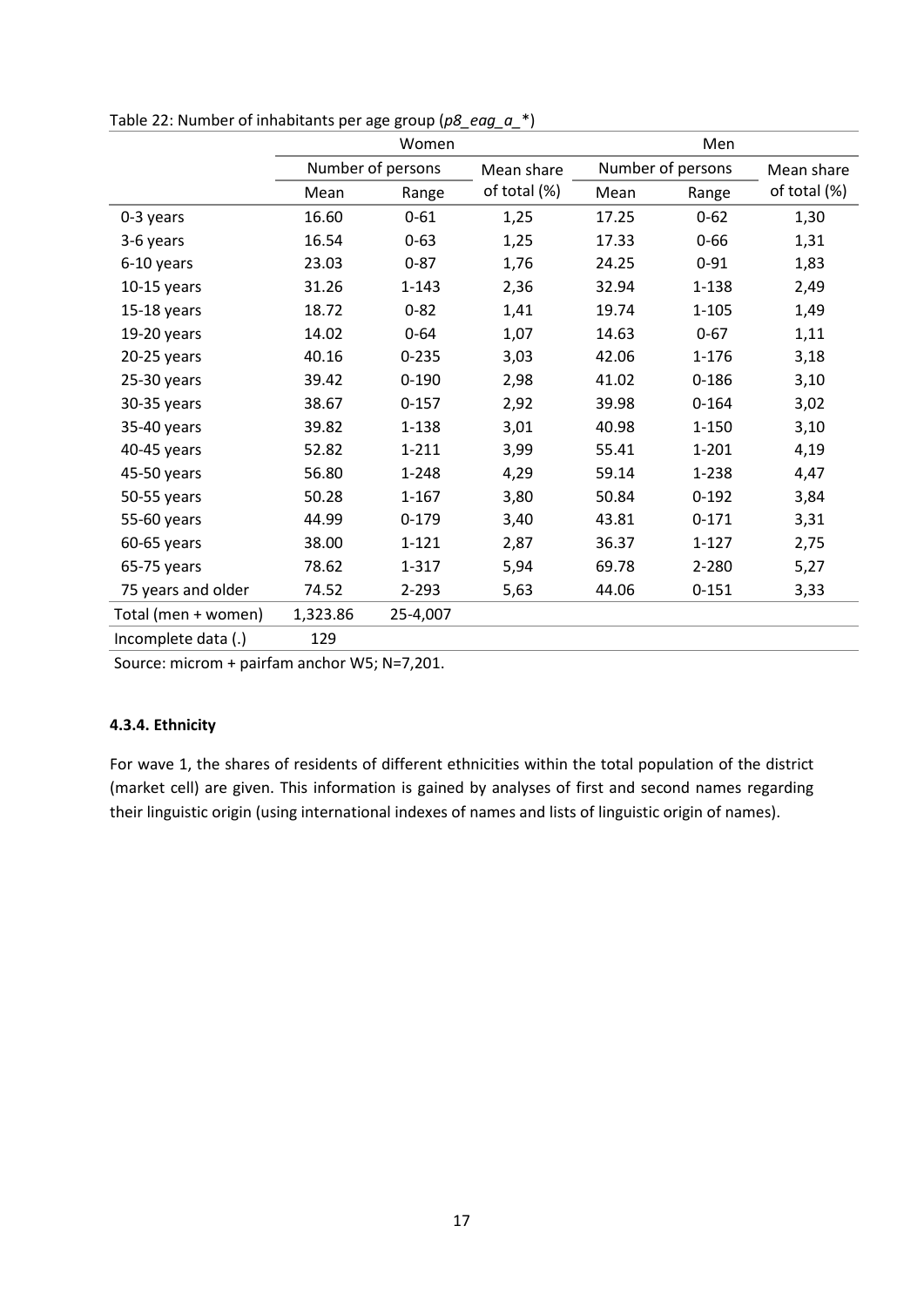|                     | Women    |                   |              | Men   |                   |              |
|---------------------|----------|-------------------|--------------|-------|-------------------|--------------|
|                     |          | Number of persons | Mean share   |       | Number of persons | Mean share   |
|                     | Mean     | Range             | of total (%) | Mean  | Range             | of total (%) |
| 0-3 years           | 16.60    | $0 - 61$          | 1,25         | 17.25 | $0 - 62$          | 1,30         |
| 3-6 years           | 16.54    | $0 - 63$          | 1,25         | 17.33 | $0 - 66$          | 1,31         |
| 6-10 years          | 23.03    | $0 - 87$          | 1,76         | 24.25 | $0 - 91$          | 1,83         |
| $10-15$ years       | 31.26    | $1 - 143$         | 2,36         | 32.94 | 1-138             | 2,49         |
| $15-18$ years       | 18.72    | $0 - 82$          | 1,41         | 19.74 | $1 - 105$         | 1,49         |
| 19-20 years         | 14.02    | $0 - 64$          | 1,07         | 14.63 | $0 - 67$          | 1,11         |
| $20-25$ years       | 40.16    | $0 - 235$         | 3,03         | 42.06 | 1-176             | 3,18         |
| 25-30 years         | 39.42    | $0 - 190$         | 2,98         | 41.02 | $0 - 186$         | 3,10         |
| 30-35 years         | 38.67    | $0 - 157$         | 2,92         | 39.98 | $0 - 164$         | 3,02         |
| 35-40 years         | 39.82    | 1-138             | 3,01         | 40.98 | $1 - 150$         | 3,10         |
| 40-45 years         | 52.82    | $1 - 211$         | 3,99         | 55.41 | $1 - 201$         | 4,19         |
| 45-50 years         | 56.80    | 1-248             | 4,29         | 59.14 | 1-238             | 4,47         |
| 50-55 years         | 50.28    | $1 - 167$         | 3,80         | 50.84 | $0 - 192$         | 3,84         |
| 55-60 years         | 44.99    | $0 - 179$         | 3,40         | 43.81 | $0 - 171$         | 3,31         |
| 60-65 years         | 38.00    | $1 - 121$         | 2,87         | 36.37 | $1 - 127$         | 2,75         |
| 65-75 years         | 78.62    | 1-317             | 5,94         | 69.78 | 2-280             | 5,27         |
| 75 years and older  | 74.52    | $2 - 293$         | 5,63         | 44.06 | $0 - 151$         | 3,33         |
| Total (men + women) | 1,323.86 | 25-4,007          |              |       |                   |              |
| Incomplete data (.) | 129      |                   |              |       |                   |              |

Table 22: Number of inhabitants per age group (*p8\_eag\_a\_*\*)

Source: microm + pairfam anchor W5; N=7,201.

## **4.3.4. Ethnicity**

For wave 1, the shares of residents of different ethnicities within the total population of the district (market cell) are given. This information is gained by analyses of first and second names regarding their linguistic origin (using international indexes of names and lists of linguistic origin of names).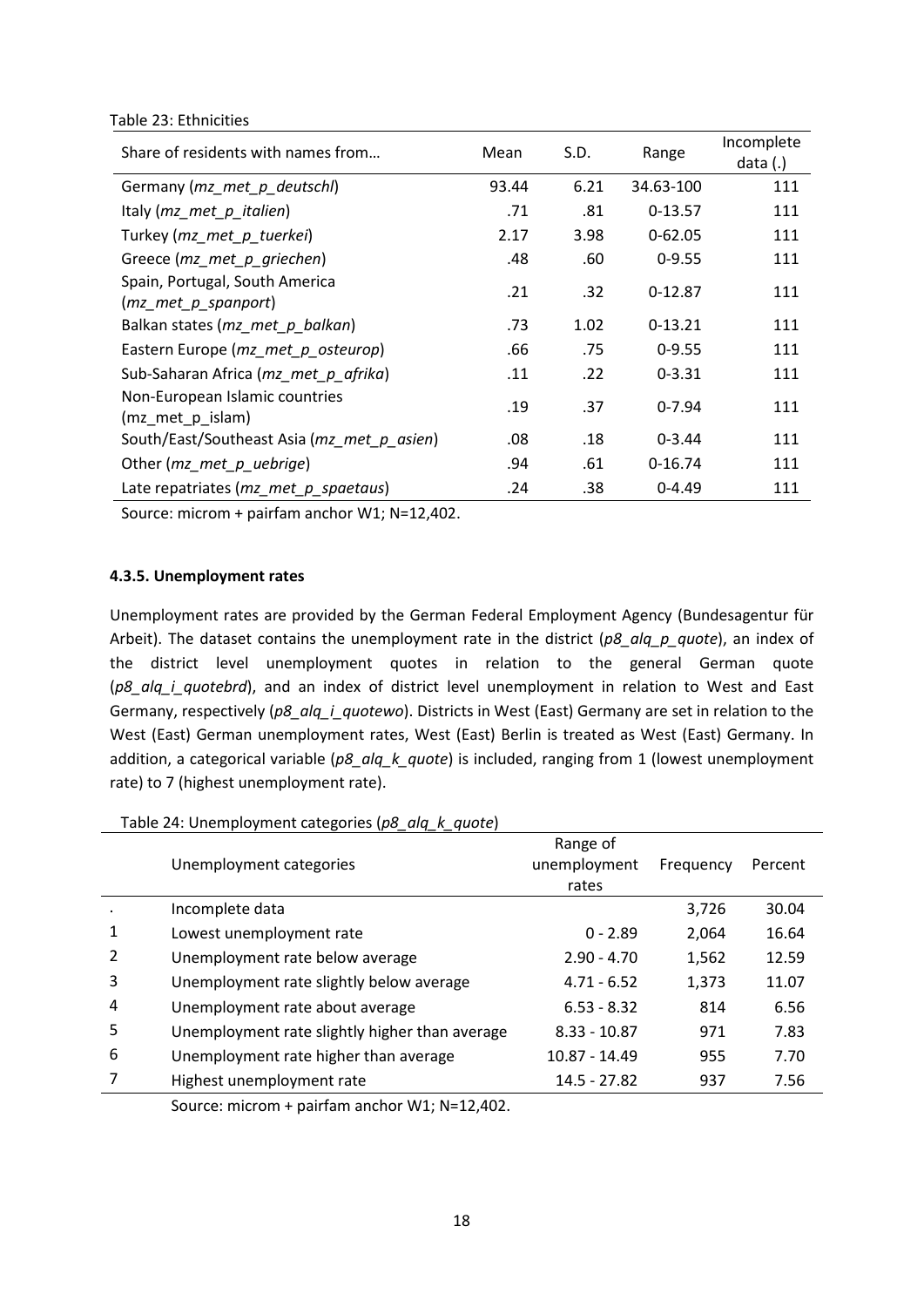#### Table 23: Ethnicities

| Share of residents with names from                      | Mean  | S.D. | Range       | Incomplete<br>data $(.)$ |
|---------------------------------------------------------|-------|------|-------------|--------------------------|
| Germany (mz_met_p_deutschl)                             | 93.44 | 6.21 | 34.63-100   | 111                      |
| Italy (mz_met_p_italien)                                | .71   | .81  | $0-13.57$   | 111                      |
| Turkey (mz met p tuerkei)                               | 2.17  | 3.98 | $0 - 62.05$ | 111                      |
| Greece (mz met p griechen)                              | .48   | .60  | $0 - 9.55$  | 111                      |
| Spain, Portugal, South America<br>$(mz$ met p spanport) | .21   | .32  | $0-12.87$   | 111                      |
| Balkan states (mz_met_p_balkan)                         | .73   | 1.02 | $0-13.21$   | 111                      |
| Eastern Europe (mz met p osteurop)                      | .66   | .75  | $0 - 9.55$  | 111                      |
| Sub-Saharan Africa (mz met p afrika)                    | .11   | .22  | $0 - 3.31$  | 111                      |
| Non-European Islamic countries<br>(mz_met_p_islam)      | .19   | .37  | $0 - 7.94$  | 111                      |
| South/East/Southeast Asia (mz met p asien)              | .08   | .18  | $0 - 3.44$  | 111                      |
| Other (mz_met_p_uebrige)                                | .94   | .61  | $0-16.74$   | 111                      |
| Late repatriates ( $mz$ met $p$ spaetaus)               | .24   | .38  | $0 - 4.49$  | 111                      |

Source: microm + pairfam anchor W1; N=12,402.

#### **4.3.5. Unemployment rates**

Unemployment rates are provided by the German Federal Employment Agency (Bundesagentur für Arbeit). The dataset contains the unemployment rate in the district (*p8\_alq\_p\_quote*), an index of the district level unemployment quotes in relation to the general German quote (*p8\_alq\_i\_quotebrd*), and an index of district level unemployment in relation to West and East Germany, respectively (*p8\_alq\_i\_quotewo*). Districts in West (East) Germany are set in relation to the West (East) German unemployment rates, West (East) Berlin is treated as West (East) Germany. In addition, a categorical variable (*p8\_alq\_k\_quote*) is included, ranging from 1 (lowest unemployment rate) to 7 (highest unemployment rate).

#### Table 24: Unemployment categories (*p8\_alq\_k\_quote*)

|   |                                                | Range of       |           |         |  |
|---|------------------------------------------------|----------------|-----------|---------|--|
|   | Unemployment categories                        | unemployment   | Frequency | Percent |  |
|   |                                                | rates          |           |         |  |
|   | Incomplete data                                |                | 3,726     | 30.04   |  |
| 1 | Lowest unemployment rate                       | $0 - 2.89$     | 2,064     | 16.64   |  |
| 2 | Unemployment rate below average                | $2.90 - 4.70$  | 1,562     | 12.59   |  |
| 3 | Unemployment rate slightly below average       | $4.71 - 6.52$  | 1,373     | 11.07   |  |
| 4 | Unemployment rate about average                | $6.53 - 8.32$  | 814       | 6.56    |  |
| 5 | Unemployment rate slightly higher than average | $8.33 - 10.87$ | 971       | 7.83    |  |
| 6 | Unemployment rate higher than average          | 10.87 - 14.49  | 955       | 7.70    |  |
|   | Highest unemployment rate                      | 14.5 - 27.82   | 937       | 7.56    |  |
|   |                                                |                |           |         |  |

Source: microm + pairfam anchor W1; N=12,402.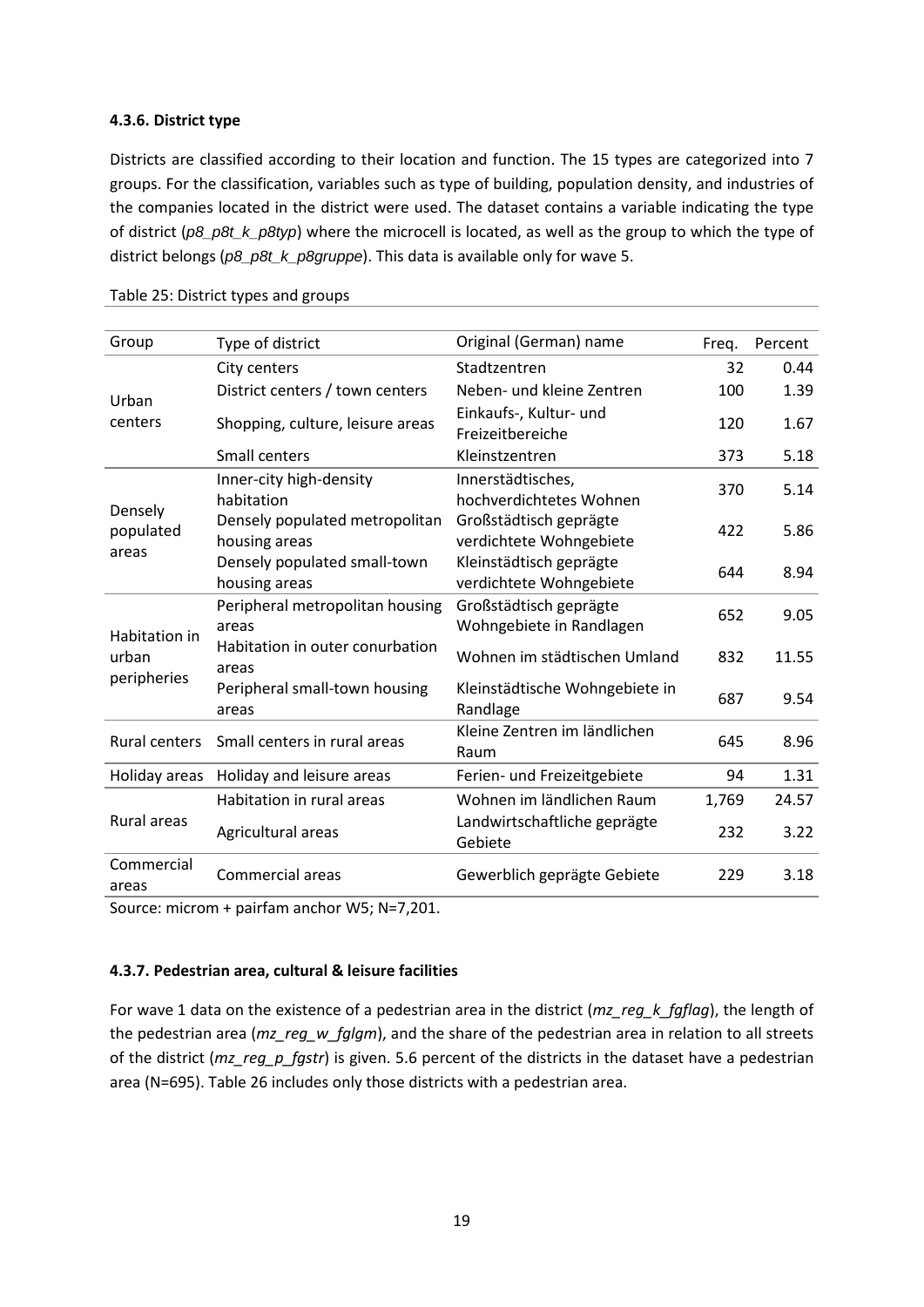## **4.3.6. District type**

Districts are classified according to their location and function. The 15 types are categorized into 7 groups. For the classification, variables such as type of building, population density, and industries of the companies located in the district were used. The dataset contains a variable indicating the type of district (*p8\_p8t\_k\_p8typ*) where the microcell is located, as well as the group to which the type of district belongs (*p8\_p8t\_k\_p8gruppe*). This data is available only for wave 5.

| Group                  | Type of district                                | Original (German) name                             | Freq. | Percent |
|------------------------|-------------------------------------------------|----------------------------------------------------|-------|---------|
| Urban<br>centers       | City centers                                    | Stadtzentren                                       | 32    | 0.44    |
|                        | District centers / town centers                 | Neben- und kleine Zentren                          | 100   | 1.39    |
|                        | Shopping, culture, leisure areas                | Einkaufs-, Kultur- und<br>Freizeitbereiche         | 120   | 1.67    |
|                        | Small centers                                   | Kleinstzentren                                     | 373   | 5.18    |
|                        | Inner-city high-density<br>habitation           | Innerstädtisches,<br>hochverdichtetes Wohnen       | 370   | 5.14    |
| Densely<br>populated   | Densely populated metropolitan<br>housing areas | Großstädtisch geprägte<br>verdichtete Wohngebiete  | 422   | 5.86    |
| areas                  | Densely populated small-town<br>housing areas   | Kleinstädtisch geprägte<br>verdichtete Wohngebiete | 644   | 8.94    |
|                        | Peripheral metropolitan housing<br>areas        | Großstädtisch geprägte<br>Wohngebiete in Randlagen | 652   | 9.05    |
| Habitation in<br>urban | Habitation in outer conurbation<br>areas        | Wohnen im städtischen Umland                       | 832   | 11.55   |
| peripheries            | Peripheral small-town housing<br>areas          | Kleinstädtische Wohngebiete in<br>Randlage         | 687   | 9.54    |
| Rural centers          | Small centers in rural areas                    | Kleine Zentren im ländlichen<br>Raum               | 645   | 8.96    |
| Holiday areas          | Holiday and leisure areas                       | Ferien- und Freizeitgebiete                        | 94    | 1.31    |
|                        | Habitation in rural areas                       | Wohnen im ländlichen Raum                          | 1,769 | 24.57   |
| Rural areas            | Agricultural areas                              | Landwirtschaftliche geprägte<br>Gebiete            | 232   | 3.22    |
| Commercial<br>areas    | Commercial areas                                | Gewerblich geprägte Gebiete                        | 229   | 3.18    |

Table 25: District types and groups

Source: microm + pairfam anchor W5; N=7,201.

## **4.3.7. Pedestrian area, cultural & leisure facilities**

For wave 1 data on the existence of a pedestrian area in the district (*mz\_reg\_k\_fgflag*), the length of the pedestrian area (*mz\_reg\_w\_fglgm*), and the share of the pedestrian area in relation to all streets of the district (*mz\_reg\_p\_fgstr*) is given. 5.6 percent of the districts in the dataset have a pedestrian area (N=695). [Table 26](#page-20-0) includes only those districts with a pedestrian area.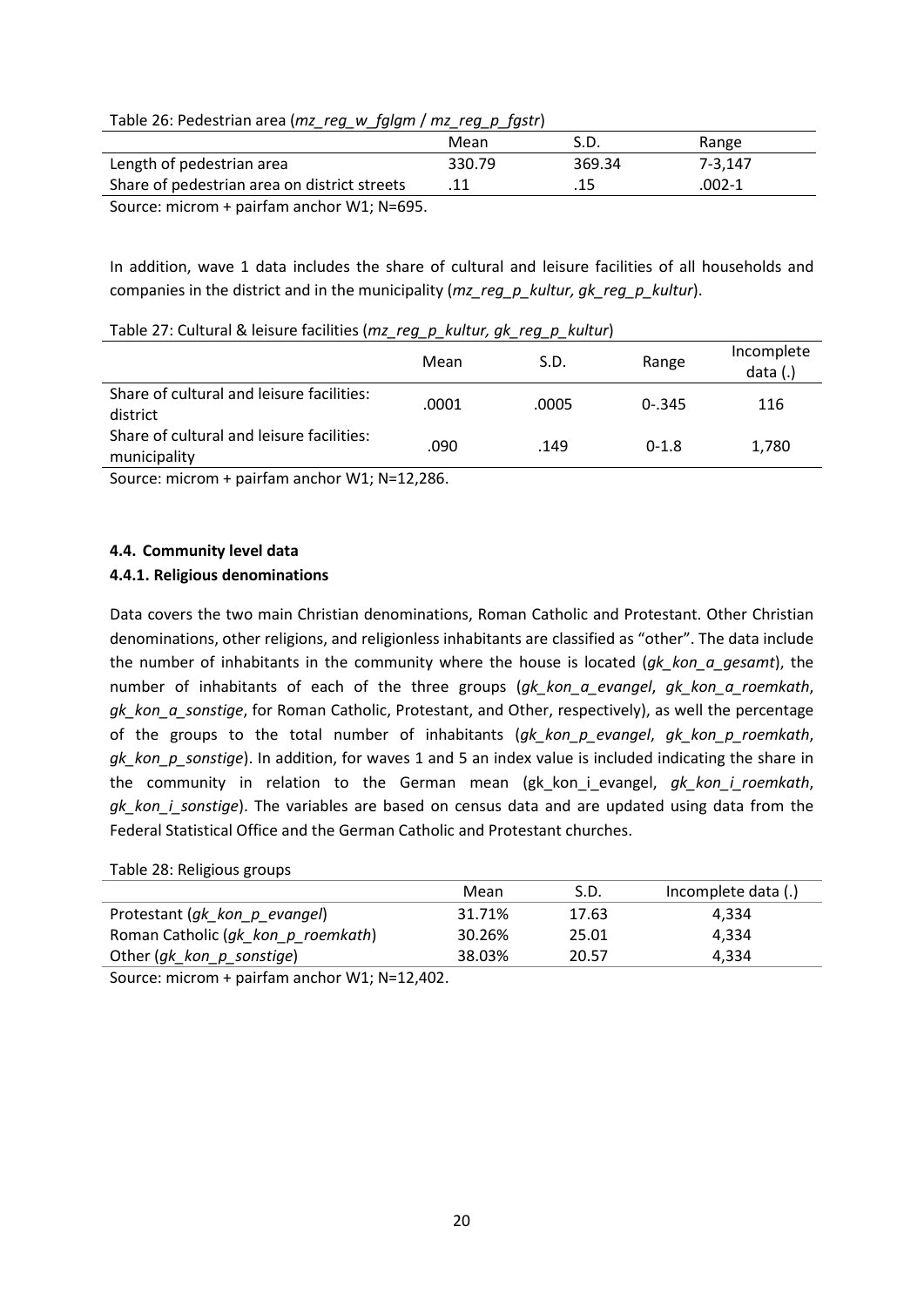<span id="page-20-0"></span>

| Table 26: Pedestrian area (mz_reg_w_fglgm / mz_reg_p_fgstr) |  |  |  |  |
|-------------------------------------------------------------|--|--|--|--|
|-------------------------------------------------------------|--|--|--|--|

|                                              | Mean   | S.D.   | Range   |  |
|----------------------------------------------|--------|--------|---------|--|
| Length of pedestrian area                    | 330.79 | 369.34 | 7-3.147 |  |
| Share of pedestrian area on district streets |        | .15    | .002-1  |  |
| Source: $microm + pairfam anchor M/1: N-695$ |        |        |         |  |

Source: microm + pairfam anchor W1; N=695.

In addition, wave 1 data includes the share of cultural and leisure facilities of all households and companies in the district and in the municipality (*mz\_reg\_p\_kultur, gk\_reg\_p\_kultur*).

#### Table 27: Cultural & leisure facilities (*mz\_reg\_p\_kultur, gk\_reg\_p\_kultur*)

|                                                           | Mean  | S.D.  | Range     | Incomplete<br>data $(.)$ |
|-----------------------------------------------------------|-------|-------|-----------|--------------------------|
| Share of cultural and leisure facilities:<br>district     | .0001 | .0005 | $0 - 345$ | 116                      |
| Share of cultural and leisure facilities:<br>municipality | .090  | .149  | $0 - 1.8$ | 1,780                    |

Source: microm + pairfam anchor W1; N=12,286.

## **4.4. Community level data**

## **4.4.1. Religious denominations**

Data covers the two main Christian denominations, Roman Catholic and Protestant. Other Christian denominations, other religions, and religionless inhabitants are classified as "other". The data include the number of inhabitants in the community where the house is located (*gk\_kon\_a\_gesamt*), the number of inhabitants of each of the three groups (*gk\_kon\_a\_evangel*, *gk\_kon\_a\_roemkath*, *gk\_kon\_a\_sonstige*, for Roman Catholic, Protestant, and Other, respectively), as well the percentage of the groups to the total number of inhabitants (*gk\_kon\_p\_evangel*, *gk\_kon\_p\_roemkath*, *gk kon p sonstige*). In addition, for waves 1 and 5 an index value is included indicating the share in the community in relation to the German mean (gk\_kon\_i\_evangel, *gk\_kon\_i\_roemkath*, *gk\_kon\_i\_sonstige*). The variables are based on census data and are updated using data from the Federal Statistical Office and the German Catholic and Protestant churches.

#### Table 28: Religious groups

|                                    | Mean   | S.D.  | Incomplete data (.) |
|------------------------------------|--------|-------|---------------------|
| Protestant (gk_kon_p_evangel)      | 31.71% | 17.63 | 4.334               |
| Roman Catholic (gk_kon_p_roemkath) | 30.26% | 25.01 | 4.334               |
| Other (gk_kon_p_sonstige)          | 38.03% | 20.57 | 4.334               |
| $\cdots$ $\cdots$                  |        |       |                     |

Source: microm + pairfam anchor W1; N=12,402.